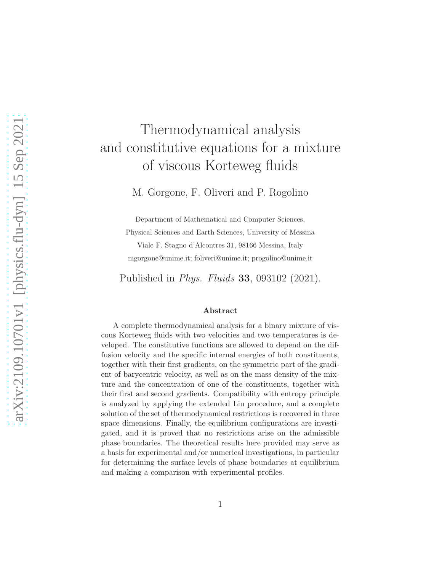# arXiv:2109.10701v1 [physics.flu-dyn] 15 Sep 2021 [arXiv:2109.10701v1 \[physics.flu-dyn\] 15 Sep 2021](http://arxiv.org/abs/2109.10701v1)

# Thermodynamical analysis and constitutive equations for a mixture of viscous Korteweg fluids

M. Gorgone, F. Oliveri and P. Rogolino

Department of Mathematical and Computer Sciences, Physical Sciences and Earth Sciences, University of Messina Viale F. Stagno d'Alcontres 31, 98166 Messina, Italy mgorgone@unime.it; foliveri@unime.it; progolino@unime.it

Published in Phys. Fluids 33, 093102 (2021).

### Abstract

A complete thermodynamical analysis for a binary mixture of viscous Korteweg fluids with two velocities and two temperatures is developed. The constitutive functions are allowed to depend on the diffusion velocity and the specific internal energies of both constituents, together with their first gradients, on the symmetric part of the gradient of barycentric velocity, as well as on the mass density of the mixture and the concentration of one of the constituents, together with their first and second gradients. Compatibility with entropy principle is analyzed by applying the extended Liu procedure, and a complete solution of the set of thermodynamical restrictions is recovered in three space dimensions. Finally, the equilibrium configurations are investigated, and it is proved that no restrictions arise on the admissible phase boundaries. The theoretical results here provided may serve as a basis for experimental and/or numerical investigations, in particular for determining the surface levels of phase boundaries at equilibrium and making a comparison with experimental profiles.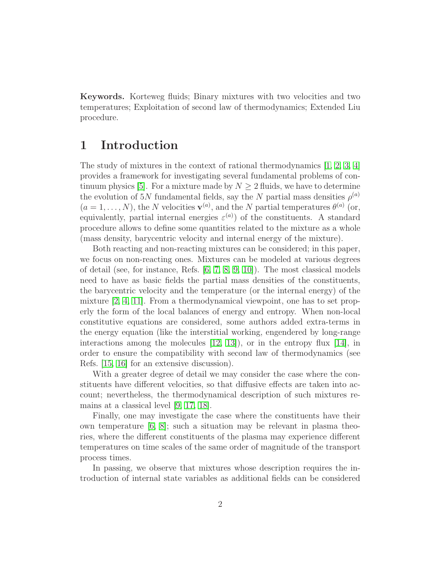Keywords. Korteweg fluids; Binary mixtures with two velocities and two temperatures; Exploitation of second law of thermodynamics; Extended Liu procedure.

### 1 Introduction

The study of mixtures in the context of rational thermodynamics [\[1,](#page-25-0) [2,](#page-26-0) [3,](#page-26-1) [4\]](#page-26-2) provides a framework for investigating several fundamental problems of con-tinuum physics [\[5\]](#page-26-3). For a mixture made by  $N \geq 2$  fluids, we have to determine the evolution of 5N fundamental fields, say the N partial mass densities  $\rho^{(a)}$  $(a = 1, \ldots, N)$ , the N velocities  $\mathbf{v}^{(a)}$ , and the N partial temperatures  $\theta^{(a)}$  (or, equivalently, partial internal energies  $\varepsilon^{(a)}$  of the constituents. A standard procedure allows to define some quantities related to the mixture as a whole (mass density, barycentric velocity and internal energy of the mixture).

Both reacting and non-reacting mixtures can be considered; in this paper, we focus on non-reacting ones. Mixtures can be modeled at various degrees of detail (see, for instance, Refs. [\[6,](#page-26-4) [7,](#page-26-5) [8,](#page-26-6) [9,](#page-26-7) [10\]](#page-26-8)). The most classical models need to have as basic fields the partial mass densities of the constituents, the barycentric velocity and the temperature (or the internal energy) of the mixture [\[2,](#page-26-0) [4,](#page-26-2) [11\]](#page-26-9). From a thermodynamical viewpoint, one has to set properly the form of the local balances of energy and entropy. When non-local constitutive equations are considered, some authors added extra-terms in the energy equation (like the interstitial working, engendered by long-range interactions among the molecules  $[12, 13]$  $[12, 13]$ , or in the entropy flux  $[14]$ , in order to ensure the compatibility with second law of thermodynamics (see Refs. [\[15,](#page-27-1) [16\]](#page-27-2) for an extensive discussion).

With a greater degree of detail we may consider the case where the constituents have different velocities, so that diffusive effects are taken into account; nevertheless, the thermodynamical description of such mixtures remains at a classical level [\[9,](#page-26-7) [17,](#page-27-3) [18\]](#page-27-4).

Finally, one may investigate the case where the constituents have their own temperature [\[6,](#page-26-4) [8\]](#page-26-6); such a situation may be relevant in plasma theories, where the different constituents of the plasma may experience different temperatures on time scales of the same order of magnitude of the transport process times.

In passing, we observe that mixtures whose description requires the introduction of internal state variables as additional fields can be considered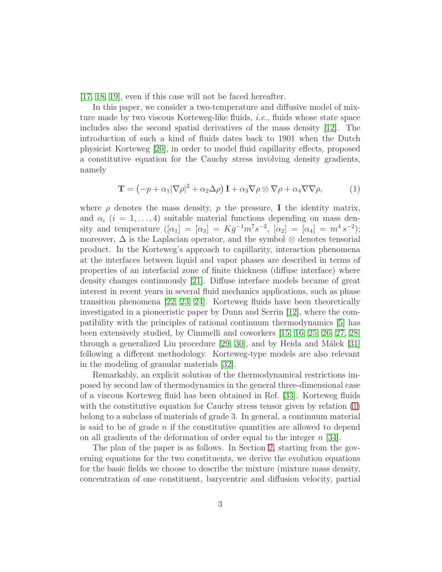[\[17,](#page-27-3) [18,](#page-27-4) [19\]](#page-27-5), even if this case will not be faced hereafter.

In this paper, we consider a two-temperature and diffusive model of mixture made by two viscous Korteweg-like fluids, i.e., fluids whose state space includes also the second spatial derivatives of the mass density [\[12\]](#page-26-10). The introduction of such a kind of fluids dates back to 1901 when the Dutch physicist Korteweg [\[20\]](#page-27-6), in order to model fluid capillarity effects, proposed a constitutive equation for the Cauchy stress involving density gradients, namely

<span id="page-2-0"></span>
$$
\mathbf{T} = \left(-p + \alpha_1 |\nabla \rho|^2 + \alpha_2 \Delta \rho\right) \mathbf{I} + \alpha_3 \nabla \rho \otimes \nabla \rho + \alpha_4 \nabla \nabla \rho, \tag{1}
$$

where  $\rho$  denotes the mass density, p the pressure, I the identity matrix, and  $\alpha_i$  (i = 1,..., 4) suitable material functions depending on mass density and temperature  $([\alpha_1] = [\alpha_3] = Kg^{-1}m^7s^{-2}$ ,  $[\alpha_2] = [\alpha_4] = m^4 s^{-2}$ ; moreover,  $\Delta$  is the Laplacian operator, and the symbol  $\otimes$  denotes tensorial product. In the Korteweg's approach to capillarity, interaction phenomena at the interfaces between liquid and vapor phases are described in terms of properties of an interfacial zone of finite thickness (diffuse interface) where density changes continuously [\[21\]](#page-27-7). Diffuse interface models became of great interest in recent years in several fluid mechanics applications, such as phase transition phenomena [\[22,](#page-27-8) [23,](#page-27-9) [24\]](#page-28-0). Korteweg fluids have been theoretically investigated in a pioneeristic paper by Dunn and Serrin [\[12\]](#page-26-10), where the compatibility with the principles of rational continuum thermodynamics [\[5\]](#page-26-3) has been extensively studied, by Cimmelli and coworkers [\[15,](#page-27-1) [16,](#page-27-2) [25,](#page-28-1) [26,](#page-28-2) [27,](#page-28-3) [28\]](#page-28-4) through a generalized Liu procedure  $[29, 30]$  $[29, 30]$ , and by Heida and Málek  $[31]$ following a different methodology. Korteweg-type models are also relevant in the modeling of granular materials [\[32\]](#page-28-8).

Remarkably, an explicit solution of the thermodynamical restrictions imposed by second law of thermodynamics in the general three-dimensional case of a viscous Korteweg fluid has been obtained in Ref. [\[33\]](#page-28-9). Korteweg fluids with the constitutive equation for Cauchy stress tensor given by relation [\(1\)](#page-2-0) belong to a subclass of materials of grade 3. In general, a continuum material is said to be of grade  $n$  if the constitutive quantities are allowed to depend on all gradients of the deformation of order equal to the integer  $n \geq 34$ .

The plan of the paper is as follows. In Section [2,](#page-3-0) starting from the governing equations for the two constituents, we derive the evolution equations for the basic fields we choose to describe the mixture (mixture mass density, concentration of one constituent, barycentric and diffusion velocity, partial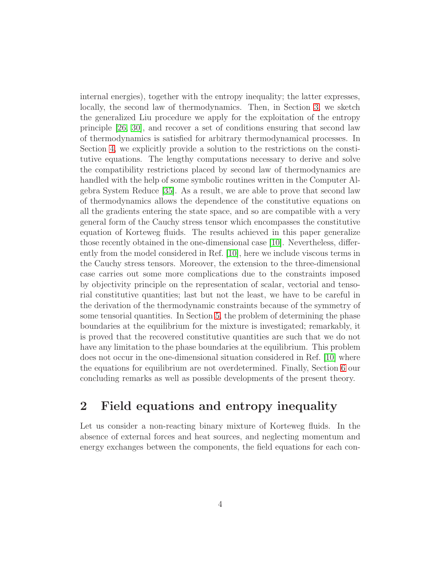internal energies), together with the entropy inequality; the latter expresses, locally, the second law of thermodynamics. Then, in Section [3,](#page-7-0) we sketch the generalized Liu procedure we apply for the exploitation of the entropy principle [\[26,](#page-28-2) [30\]](#page-28-6), and recover a set of conditions ensuring that second law of thermodynamics is satisfied for arbitrary thermodynamical processes. In Section [4,](#page-12-0) we explicitly provide a solution to the restrictions on the constitutive equations. The lengthy computations necessary to derive and solve the compatibility restrictions placed by second law of thermodynamics are handled with the help of some symbolic routines written in the Computer Algebra System Reduce [\[35\]](#page-28-11). As a result, we are able to prove that second law of thermodynamics allows the dependence of the constitutive equations on all the gradients entering the state space, and so are compatible with a very general form of the Cauchy stress tensor which encompasses the constitutive equation of Korteweg fluids. The results achieved in this paper generalize those recently obtained in the one-dimensional case [\[10\]](#page-26-8). Nevertheless, differently from the model considered in Ref. [\[10\]](#page-26-8), here we include viscous terms in the Cauchy stress tensors. Moreover, the extension to the three-dimensional case carries out some more complications due to the constraints imposed by objectivity principle on the representation of scalar, vectorial and tensorial constitutive quantities; last but not the least, we have to be careful in the derivation of the thermodynamic constraints because of the symmetry of some tensorial quantities. In Section [5,](#page-21-0) the problem of determining the phase boundaries at the equilibrium for the mixture is investigated; remarkably, it is proved that the recovered constitutive quantities are such that we do not have any limitation to the phase boundaries at the equilibrium. This problem does not occur in the one-dimensional situation considered in Ref. [\[10\]](#page-26-8) where the equations for equilibrium are not overdetermined. Finally, Section [6](#page-24-0) our concluding remarks as well as possible developments of the present theory.

### <span id="page-3-0"></span>2 Field equations and entropy inequality

Let us consider a non-reacting binary mixture of Korteweg fluids. In the absence of external forces and heat sources, and neglecting momentum and energy exchanges between the components, the field equations for each con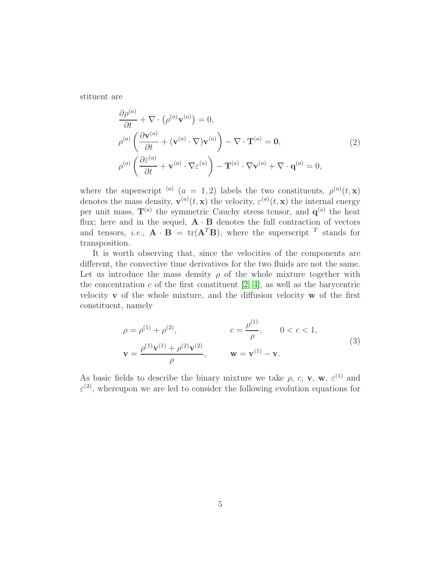stituent are

$$
\frac{\partial \rho^{(a)}}{\partial t} + \nabla \cdot (\rho^{(a)} \mathbf{v}^{(a)}) = 0,\n\rho^{(a)} \left( \frac{\partial \mathbf{v}^{(a)}}{\partial t} + (\mathbf{v}^{(a)} \cdot \nabla) \mathbf{v}^{(a)} \right) - \nabla \cdot \mathbf{T}^{(a)} = \mathbf{0},\n\rho^{(a)} \left( \frac{\partial \varepsilon^{(a)}}{\partial t} + \mathbf{v}^{(a)} \cdot \nabla \varepsilon^{(a)} \right) - \mathbf{T}^{(a)} \cdot \nabla \mathbf{v}^{(a)} + \nabla \cdot \mathbf{q}^{(a)} = 0,
$$
\n(2)

where the superscript <sup>(a)</sup>  $(a = 1, 2)$  labels the two constituents,  $\rho^{(a)}(t, x)$ denotes the mass density,  $\mathbf{v}^{(a)}(t,\mathbf{x})$  the velocity,  $\varepsilon^{(a)}(t,\mathbf{x})$  the internal energy per unit mass,  $T^{(a)}$  the symmetric Cauchy stress tensor, and  $q^{(a)}$  the heat flux; here and in the sequel,  $\mathbf{A} \cdot \mathbf{B}$  denotes the full contraction of vectors and tensors, *i.e.*,  $\mathbf{A} \cdot \mathbf{B} = \text{tr}(\mathbf{A}^T \mathbf{B})$ , where the superscript <sup>T</sup> stands for transposition.

It is worth observing that, since the velocities of the components are different, the convective time derivatives for the two fluids are not the same. Let us introduce the mass density  $\rho$  of the whole mixture together with the concentration  $c$  of the first constituent [\[2,](#page-26-0) [4\]](#page-26-2), as well as the barycentric velocity  $\bf{v}$  of the whole mixture, and the diffusion velocity  $\bf{w}$  of the first constituent, namely

$$
\rho = \rho^{(1)} + \rho^{(2)}, \qquad c = \frac{\rho^{(1)}}{\rho}, \qquad 0 < c < 1,
$$
  

$$
\mathbf{v} = \frac{\rho^{(1)} \mathbf{v}^{(1)} + \rho^{(2)} \mathbf{v}^{(2)}}{\rho}, \qquad \mathbf{w} = \mathbf{v}^{(1)} - \mathbf{v}.
$$
 (3)

As basic fields to describe the binary mixture we take  $\rho$ ,  $c$ ,  $\mathbf{v}$ ,  $\mathbf{w}$ ,  $\varepsilon^{(1)}$  and  $\varepsilon^{(2)}$ , whereupon we are led to consider the following evolution equations for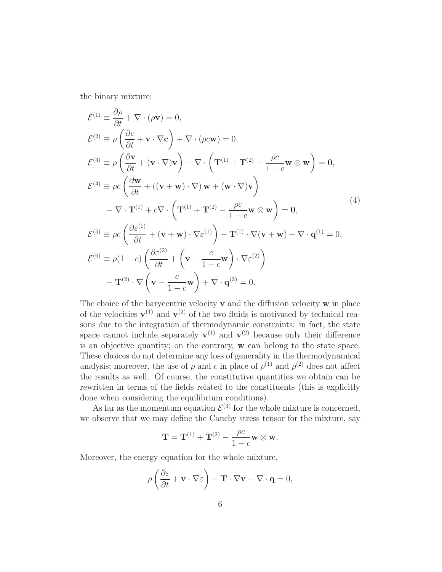the binary mixture:

<span id="page-5-0"></span>
$$
\mathcal{E}^{(1)} = \frac{\partial \rho}{\partial t} + \nabla \cdot (\rho \mathbf{v}) = 0,
$$
  
\n
$$
\mathcal{E}^{(2)} = \rho \left( \frac{\partial c}{\partial t} + \mathbf{v} \cdot \nabla c \right) + \nabla \cdot (\rho c \mathbf{w}) = 0,
$$
  
\n
$$
\mathcal{E}^{(3)} = \rho \left( \frac{\partial \mathbf{v}}{\partial t} + (\mathbf{v} \cdot \nabla) \mathbf{v} \right) - \nabla \cdot \left( \mathbf{T}^{(1)} + \mathbf{T}^{(2)} - \frac{\rho c}{1 - c} \mathbf{w} \otimes \mathbf{w} \right) = \mathbf{0},
$$
  
\n
$$
\mathcal{E}^{(4)} = \rho c \left( \frac{\partial \mathbf{w}}{\partial t} + ((\mathbf{v} + \mathbf{w}) \cdot \nabla) \mathbf{w} + (\mathbf{w} \cdot \nabla) \mathbf{v} \right)
$$
  
\n
$$
- \nabla \cdot \mathbf{T}^{(1)} + c \nabla \cdot \left( \mathbf{T}^{(1)} + \mathbf{T}^{(2)} - \frac{\rho c}{1 - c} \mathbf{w} \otimes \mathbf{w} \right) = \mathbf{0},
$$
  
\n
$$
\mathcal{E}^{(5)} \equiv \rho c \left( \frac{\partial \varepsilon^{(1)}}{\partial t} + (\mathbf{v} + \mathbf{w}) \cdot \nabla \varepsilon^{(1)} \right) - \mathbf{T}^{(1)} \cdot \nabla (\mathbf{v} + \mathbf{w}) + \nabla \cdot \mathbf{q}^{(1)} = 0,
$$
  
\n
$$
\mathcal{E}^{(6)} \equiv \rho (1 - c) \left( \frac{\partial \varepsilon^{(2)}}{\partial t} + \left( \mathbf{v} - \frac{c}{1 - c} \mathbf{w} \right) \cdot \nabla \varepsilon^{(2)} \right)
$$
  
\n
$$
- \mathbf{T}^{(2)} \cdot \nabla \left( \mathbf{v} - \frac{c}{1 - c} \mathbf{w} \right) + \nabla \cdot \mathbf{q}^{(2)} = 0.
$$

The choice of the barycentric velocity  $\bf{v}$  and the diffusion velocity  $\bf{w}$  in place of the velocities  $\mathbf{v}^{(1)}$  and  $\mathbf{v}^{(2)}$  of the two fluids is motivated by technical reasons due to the integration of thermodynamic constraints: in fact, the state space cannot include separately  $\mathbf{v}^{(1)}$  and  $\mathbf{v}^{(2)}$  because only their difference is an objective quantity; on the contrary, w can belong to the state space. These choices do not determine any loss of generality in the thermodynamical analysis; moreover, the use of  $\rho$  and c in place of  $\rho^{(1)}$  and  $\rho^{(2)}$  does not affect the results as well. Of course, the constitutive quantities we obtain can be rewritten in terms of the fields related to the constituents (this is explicitly done when considering the equilibrium conditions).

As far as the momentum equation  $\mathcal{E}^{(3)}$  for the whole mixture is concerned, we observe that we may define the Cauchy stress tensor for the mixture, say

$$
\mathbf{T} = \mathbf{T}^{(1)} + \mathbf{T}^{(2)} - \frac{\rho c}{1 - c} \mathbf{w} \otimes \mathbf{w}.
$$

Moreover, the energy equation for the whole mixture,

$$
\rho \left( \frac{\partial \varepsilon}{\partial t} + \mathbf{v} \cdot \nabla \varepsilon \right) - \mathbf{T} \cdot \nabla \mathbf{v} + \nabla \cdot \mathbf{q} = 0,
$$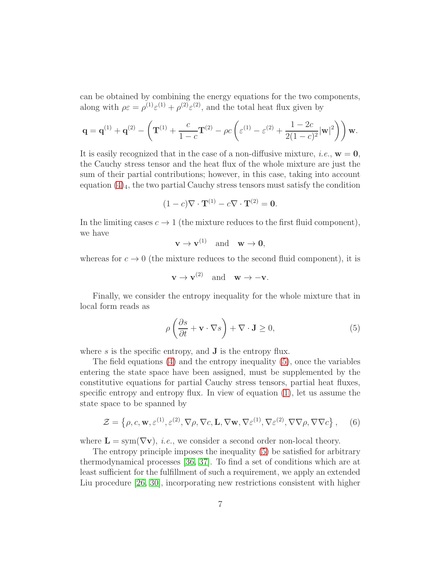can be obtained by combining the energy equations for the two components, along with  $\rho \varepsilon = \rho^{(1)} \varepsilon^{(1)} + \rho^{(2)} \varepsilon^{(2)}$ , and the total heat flux given by

$$
\mathbf{q} = \mathbf{q}^{(1)} + \mathbf{q}^{(2)} - \left(\mathbf{T}^{(1)} + \frac{c}{1-c}\mathbf{T}^{(2)} - \rho c\left(\varepsilon^{(1)} - \varepsilon^{(2)} + \frac{1-2c}{2(1-c)^2}|\mathbf{w}|^2\right)\right)\mathbf{w}.
$$

It is easily recognized that in the case of a non-diffusive mixture, *i.e.*,  $w = 0$ , the Cauchy stress tensor and the heat flux of the whole mixture are just the sum of their partial contributions; however, in this case, taking into account equation  $(4)_4$ , the two partial Cauchy stress tensors must satisfy the condition

$$
(1-c)\nabla \cdot \mathbf{T}^{(1)} - c\nabla \cdot \mathbf{T}^{(2)} = \mathbf{0}.
$$

In the limiting cases  $c \to 1$  (the mixture reduces to the first fluid component), we have

 $\mathbf{v} \to \mathbf{v}^{(1)}$  and  $\mathbf{w} \to \mathbf{0}$ ,

whereas for  $c \to 0$  (the mixture reduces to the second fluid component), it is

$$
\mathbf{v} \to \mathbf{v}^{(2)} \quad \text{and} \quad \mathbf{w} \to -\mathbf{v}.
$$

Finally, we consider the entropy inequality for the whole mixture that in local form reads as

<span id="page-6-0"></span>
$$
\rho\left(\frac{\partial s}{\partial t} + \mathbf{v} \cdot \nabla s\right) + \nabla \cdot \mathbf{J} \ge 0,
$$
\n(5)

where  $s$  is the specific entropy, and  $J$  is the entropy flux.

The field equations  $(4)$  and the entropy inequality  $(5)$ , once the variables entering the state space have been assigned, must be supplemented by the constitutive equations for partial Cauchy stress tensors, partial heat fluxes, specific entropy and entropy flux. In view of equation [\(1\)](#page-2-0), let us assume the state space to be spanned by

<span id="page-6-1"></span>
$$
\mathcal{Z} = \left\{ \rho, c, \mathbf{w}, \varepsilon^{(1)}, \varepsilon^{(2)}, \nabla \rho, \nabla c, \mathbf{L}, \nabla \mathbf{w}, \nabla \varepsilon^{(1)}, \nabla \varepsilon^{(2)}, \nabla \nabla \rho, \nabla \nabla c \right\},\tag{6}
$$

where  $\mathbf{L} = \text{sym}(\nabla \mathbf{v})$ , *i.e.*, we consider a second order non-local theory.

The entropy principle imposes the inequality [\(5\)](#page-6-0) be satisfied for arbitrary thermodynamical processes [\[36,](#page-29-0) [37\]](#page-29-1). To find a set of conditions which are at least sufficient for the fulfillment of such a requirement, we apply an extended Liu procedure [\[26,](#page-28-2) [30\]](#page-28-6), incorporating new restrictions consistent with higher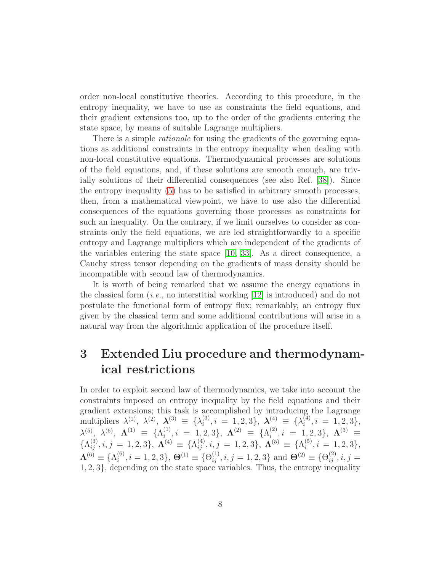order non-local constitutive theories. According to this procedure, in the entropy inequality, we have to use as constraints the field equations, and their gradient extensions too, up to the order of the gradients entering the state space, by means of suitable Lagrange multipliers.

There is a simple *rationale* for using the gradients of the governing equations as additional constraints in the entropy inequality when dealing with non-local constitutive equations. Thermodynamical processes are solutions of the field equations, and, if these solutions are smooth enough, are trivially solutions of their differential consequences (see also Ref. [\[38\]](#page-29-2)). Since the entropy inequality [\(5\)](#page-6-0) has to be satisfied in arbitrary smooth processes, then, from a mathematical viewpoint, we have to use also the differential consequences of the equations governing those processes as constraints for such an inequality. On the contrary, if we limit ourselves to consider as constraints only the field equations, we are led straightforwardly to a specific entropy and Lagrange multipliers which are independent of the gradients of the variables entering the state space [\[10,](#page-26-8) [33\]](#page-28-9). As a direct consequence, a Cauchy stress tensor depending on the gradients of mass density should be incompatible with second law of thermodynamics.

It is worth of being remarked that we assume the energy equations in the classical form  $(i.e.,$  no interstitial working [\[12\]](#page-26-10) is introduced) and do not postulate the functional form of entropy flux; remarkably, an entropy flux given by the classical term and some additional contributions will arise in a natural way from the algorithmic application of the procedure itself.

## <span id="page-7-0"></span>3 Extended Liu procedure and thermodynamical restrictions

In order to exploit second law of thermodynamics, we take into account the constraints imposed on entropy inequality by the field equations and their gradient extensions; this task is accomplished by introducing the Lagrange multipliers  $\lambda^{(1)}$ ,  $\lambda^{(2)}$ ,  $\boldsymbol{\lambda}^{(3)} \equiv {\lambda_i^{(3)}}$  $\lambda_i^{(3)}, i = 1, 2, 3\}, \ \boldsymbol{\lambda}_i^{(4)} \equiv \{\lambda_i^{(4)}\}$  $i^{(4)}$ ,  $i = 1, 2, 3$ ,  $\lambda^{(5)},\,\,\lambda^{(6)},\,\, {\boldsymbol \Lambda}^{(1)}\,\,\equiv\,\,\{{\Lambda}^{(1)}_i\,$  $\Lambda_i^{(1)}, i = 1, 2, 3\}, \; {\bf \Lambda}^{(2)} ~\equiv~ \{\Lambda_i^{(2)}\}$  $i^{(2)}, i = 1, 2, 3\}, \ \mathbf{\Lambda}^{(3)} \equiv$  $\{\Lambda_{ij}^{(3)}, i, j = 1, 2, 3\}, \ \boldsymbol{\Lambda}^{(4)} \equiv \{\Lambda_{ij}^{(4)}, i, j = 1, 2, 3\}, \ \boldsymbol{\Lambda}^{(5)} \equiv \{\Lambda_i^{(5)}\}$  $i^{(0)}$ ,  $i = 1, 2, 3$ ,  $\boldsymbol{\Lambda}^{(6)}\equiv\{\Lambda_i^{(6)}$  $\mathcal{S}_i^{(6)}, i = 1, 2, 3$ ,  $\mathbf{\Theta}^{(1)} \equiv \{\Theta_{ij}^{(1)}, i, j = 1, 2, 3\}$  and  $\mathbf{\Theta}^{(2)} \equiv \{\Theta_{ij}^{(2)}, i, j = 1, 2, 3\}$ 1, 2, 3}, depending on the state space variables. Thus, the entropy inequality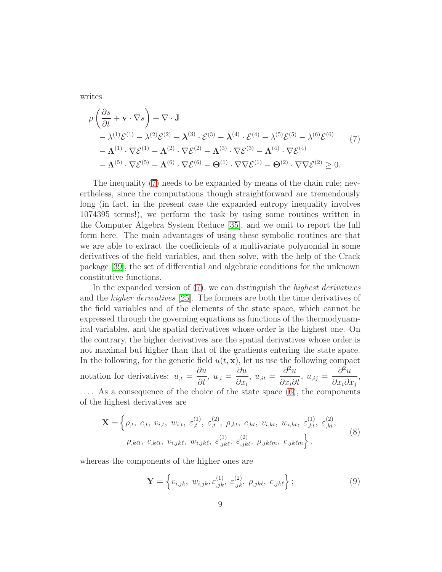writes

<span id="page-8-0"></span>
$$
\rho \left( \frac{\partial s}{\partial t} + \mathbf{v} \cdot \nabla s \right) + \nabla \cdot \mathbf{J}
$$
\n
$$
- \lambda^{(1)} \mathcal{E}^{(1)} - \lambda^{(2)} \mathcal{E}^{(2)} - \lambda^{(3)} \cdot \mathcal{E}^{(3)} - \lambda^{(4)} \cdot \mathcal{E}^{(4)} - \lambda^{(5)} \mathcal{E}^{(5)} - \lambda^{(6)} \mathcal{E}^{(6)} \qquad (7)
$$
\n
$$
- \Lambda^{(1)} \cdot \nabla \mathcal{E}^{(1)} - \Lambda^{(2)} \cdot \nabla \mathcal{E}^{(2)} - \Lambda^{(3)} \cdot \nabla \mathcal{E}^{(3)} - \Lambda^{(4)} \cdot \nabla \mathcal{E}^{(4)} \qquad - \Lambda^{(5)} \cdot \nabla \mathcal{E}^{(5)} - \Lambda^{(6)} \cdot \nabla \mathcal{E}^{(6)} - \Theta^{(1)} \cdot \nabla \nabla \mathcal{E}^{(1)} - \Theta^{(2)} \cdot \nabla \nabla \mathcal{E}^{(2)} \ge 0.
$$
\n(7)

The inequality [\(7\)](#page-8-0) needs to be expanded by means of the chain rule; nevertheless, since the computations though straightforward are tremendously long (in fact, in the present case the expanded entropy inequality involves 1074395 terms!), we perform the task by using some routines written in the Computer Algebra System Reduce [\[35\]](#page-28-11), and we omit to report the full form here. The main advantages of using these symbolic routines are that we are able to extract the coefficients of a multivariate polynomial in some derivatives of the field variables, and then solve, with the help of the Crack package [\[39\]](#page-29-3), the set of differential and algebraic conditions for the unknown constitutive functions.

In the expanded version of [\(7\)](#page-8-0), we can distinguish the *highest derivatives* and the higher derivatives [\[25\]](#page-28-1). The formers are both the time derivatives of the field variables and of the elements of the state space, which cannot be expressed through the governing equations as functions of the thermodynamical variables, and the spatial derivatives whose order is the highest one. On the contrary, the higher derivatives are the spatial derivatives whose order is not maximal but higher than that of the gradients entering the state space. In the following, for the generic field  $u(t, \mathbf{x})$ , let us use the following compact notation for derivatives:  $u_{,t} =$ ∂u  $\frac{\partial u}{\partial t}$ ,  $u_{,i} =$ ∂u  $\partial x_i$  $, u_{\mu} =$  $\partial^2 u$  $\frac{\partial}{\partial x_i \partial t}$ ,  $u_{,ij} =$  $\partial^2 u$  $\frac{\partial}{\partial x_i \partial x_j}$ . . . . As a consequence of the choice of the state space [\(6\)](#page-6-1), the components of the highest derivatives are

$$
\mathbf{X} = \left\{ \rho_{,t}, \ c_{,t}, \ v_{i,t}, \ w_{i,t}, \ \varepsilon_{,t}^{(1)}, \ \varepsilon_{,t}^{(2)}, \ \rho_{,kt}, \ c_{,kt}, \ v_{i,kt}, \ w_{i,kt}, \ \varepsilon_{,kt}^{(1)}, \ \varepsilon_{,kt}^{(2)}, \ \rho_{,k\ell t}, \ c_{,k\ell t}, \ v_{i,jk\ell}, \ \varepsilon_{,jk\ell}^{(1)}, \ \varepsilon_{,jk\ell}^{(2)}, \ \rho_{,jk\ell m}, \ c_{,jk\ell m} \right\},\tag{8}
$$

whereas the components of the higher ones are

$$
\mathbf{Y} = \left\{ v_{i,jk}, \ w_{i,jk}, \varepsilon_{,jk}^{(1)}, \ \varepsilon_{,jk}^{(2)}, \ \rho_{,jk\ell}, \ c_{,jk\ell} \right\};\tag{9}
$$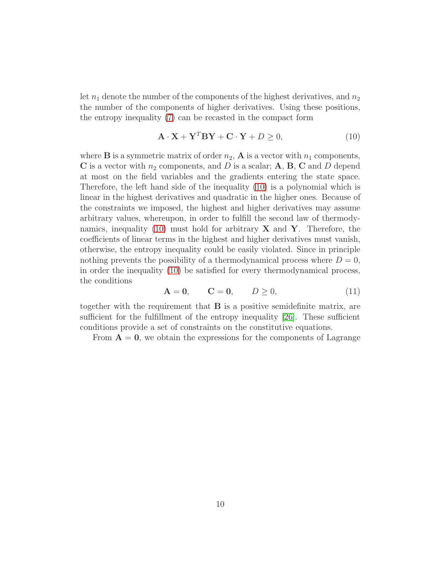let  $n_1$  denote the number of the components of the highest derivatives, and  $n_2$ the number of the components of higher derivatives. Using these positions, the entropy inequality [\(7\)](#page-8-0) can be recasted in the compact form

<span id="page-9-0"></span>
$$
\mathbf{A} \cdot \mathbf{X} + \mathbf{Y}^T \mathbf{B} \mathbf{Y} + \mathbf{C} \cdot \mathbf{Y} + D \ge 0,
$$
 (10)

where **B** is a symmetric matrix of order  $n_2$ , **A** is a vector with  $n_1$  components, C is a vector with  $n_2$  components, and D is a scalar;  $A, B, C$  and D depend at most on the field variables and the gradients entering the state space. Therefore, the left hand side of the inequality [\(10\)](#page-9-0) is a polynomial which is linear in the highest derivatives and quadratic in the higher ones. Because of the constraints we imposed, the highest and higher derivatives may assume arbitrary values, whereupon, in order to fulfill the second law of thermody-namics, inequality [\(10\)](#page-9-0) must hold for arbitrary  $X$  and  $Y$ . Therefore, the coefficients of linear terms in the highest and higher derivatives must vanish, otherwise, the entropy inequality could be easily violated. Since in principle nothing prevents the possibility of a thermodynamical process where  $D = 0$ , in order the inequality [\(10\)](#page-9-0) be satisfied for every thermodynamical process, the conditions

$$
\mathbf{A} = \mathbf{0}, \qquad \mathbf{C} = \mathbf{0}, \qquad D \ge 0,\tag{11}
$$

together with the requirement that B is a positive semidefinite matrix, are sufficient for the fulfillment of the entropy inequality [\[26\]](#page-28-2). These sufficient conditions provide a set of constraints on the constitutive equations.

From  $A = 0$ , we obtain the expressions for the components of Lagrange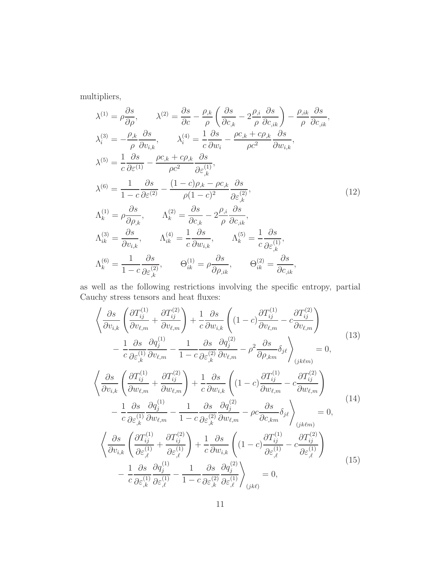multipliers,

<span id="page-10-0"></span>
$$
\lambda^{(1)} = \rho \frac{\partial s}{\partial \rho}, \qquad \lambda^{(2)} = \frac{\partial s}{\partial c} - \frac{\rho_{,k}}{\rho} \left( \frac{\partial s}{\partial c_{,k}} - 2 \frac{\rho_{,i}}{\rho} \frac{\partial s}{\partial c_{,ik}} \right) - \frac{\rho_{,ik}}{\rho} \frac{\partial s}{\partial c_{,ik}},
$$
\n
$$
\lambda_i^{(3)} = -\frac{\rho_{,k}}{\rho} \frac{\partial s}{\partial v_{i,k}}, \qquad \lambda_i^{(4)} = \frac{1}{c} \frac{\partial s}{\partial w_i} - \frac{\rho c_{,k} + c\rho_{,k}}{\rho c^2} \frac{\partial s}{\partial w_{i,k}},
$$
\n
$$
\lambda^{(5)} = \frac{1}{c} \frac{\partial s}{\partial \varepsilon^{(1)}} - \frac{\rho c_{,k} + c\rho_{,k}}{\rho c^2} \frac{\partial s}{\partial \varepsilon_{,k}^{(1)}},
$$
\n
$$
\lambda^{(6)} = \frac{1}{1 - c} \frac{\partial s}{\partial \varepsilon^{(2)}} - \frac{(1 - c)\rho_{,k} - \rho c_{,k}}{\rho (1 - c)^2} \frac{\partial s}{\partial \varepsilon_{,k}^{(2)}},
$$
\n
$$
\Lambda_k^{(1)} = \rho \frac{\partial s}{\partial \rho_{,k}}, \qquad \Lambda_k^{(2)} = \frac{\partial s}{\partial c_{,k}} - 2 \frac{\rho_{,i}}{\rho} \frac{\partial s}{\partial c_{,ik}},
$$
\n
$$
\Lambda_{ik}^{(3)} = \frac{\partial s}{\partial v_{i,k}}, \qquad \Lambda_{ik}^{(4)} = \frac{1}{c} \frac{\partial s}{\partial w_{i,k}}, \qquad \Lambda_k^{(5)} = \frac{1}{c} \frac{\partial s}{\partial \varepsilon_{,k}^{(1)}},
$$
\n
$$
\Lambda_k^{(6)} = \frac{1}{1 - c} \frac{\partial s}{\partial \varepsilon_{,k}^{(2)}}, \qquad \Theta_{ik}^{(1)} = \rho \frac{\partial s}{\partial \rho_{,ik}}, \qquad \Theta_{ik}^{(2)} = \frac{\partial s}{\partial c_{,ik}},
$$

as well as the following restrictions involving the specific entropy, partial Cauchy stress tensors and heat fluxes:

<span id="page-10-1"></span>
$$
\left\langle \frac{\partial s}{\partial v_{i,k}} \left( \frac{\partial T_{ij}^{(1)}}{\partial v_{\ell,m}} + \frac{\partial T_{ij}^{(2)}}{\partial v_{\ell,m}} \right) + \frac{1}{c} \frac{\partial s}{\partial w_{i,k}} \left( (1-c) \frac{\partial T_{ij}^{(1)}}{\partial v_{\ell,m}} - c \frac{\partial T_{ij}^{(2)}}{\partial v_{\ell,m}} \right) - \frac{1}{c} \frac{\partial s}{\partial \varepsilon_{,k}^{(1)}} \frac{\partial q_{j}^{(1)}}{\partial v_{\ell,m}} - \frac{1}{1-c} \frac{\partial s}{\partial \varepsilon_{,k}^{(2)}} \frac{\partial q_{j}^{(2)}}{\partial v_{\ell,m}} - \rho^{2} \frac{\partial s}{\partial \rho_{,km}} \delta_{j\ell} \right\rangle_{(jk\ell m)} = 0,
$$
\n
$$
\left\langle \frac{\partial s}{\partial v_{i,k}} \left( \frac{\partial T_{ij}^{(1)}}{\partial w_{\ell,m}} + \frac{\partial T_{ij}^{(2)}}{\partial w_{\ell,m}} \right) + \frac{1}{c} \frac{\partial s}{\partial w_{i,k}} \left( (1-c) \frac{\partial T_{ij}^{(1)}}{\partial w_{\ell,m}} - c \frac{\partial T_{ij}^{(2)}}{\partial w_{\ell,m}} \right) - \frac{1}{c} \frac{\partial s}{\partial \varepsilon_{,k}^{(1)}} \frac{\partial q_{j}^{(1)}}{\partial w_{\ell,m}} - \frac{1}{1-c} \frac{\partial s}{\partial \varepsilon_{,k}^{(2)}} \frac{\partial q_{j}^{(2)}}{\partial w_{\ell,m}} - \rho c \frac{\partial s}{\partial c_{,km}} \delta_{j\ell} \right\rangle_{(jk\ell m)} = 0,
$$
\n
$$
\left\langle \frac{\partial s}{\partial v_{i,k}} \left( \frac{\partial T_{ij}^{(1)}}{\partial \varepsilon_{,l}^{(1)}} + \frac{\partial T_{ij}^{(2)}}{\partial \varepsilon_{,l}^{(1)}} \right) + \frac{1}{c} \frac{\partial s}{\partial w_{i,k}} \left( (1-c) \frac{\partial T_{ij}^{(1)}}{\partial \varepsilon_{,l}^{(1)}} - c \frac{\partial T_{ij}^{(2)}}{\partial \varepsilon_{,l}^{(1)}} \right) - \frac{1}{c} \frac{\partial s}{\partial \varepsilon_{,k}^{(1)}} \frac{\partial q_{
$$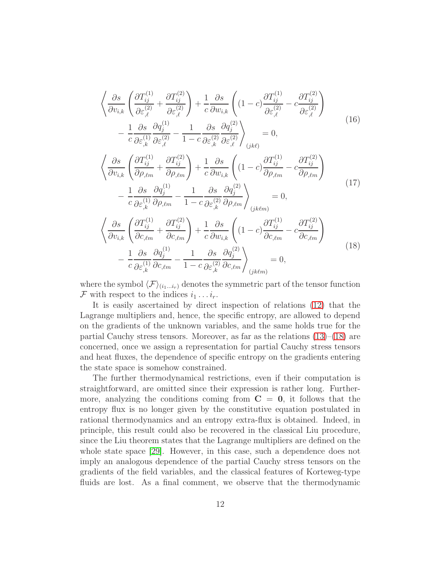$$
\begin{split}\n&\left\langle \frac{\partial s}{\partial v_{i,k}} \left( \frac{\partial T_{ij}^{(1)}}{\partial \varepsilon_{,\ell}^{(2)}} + \frac{\partial T_{ij}^{(2)}}{\partial \varepsilon_{,\ell}^{(2)}} \right) + \frac{1}{c} \frac{\partial s}{\partial w_{i,k}} \left( (1-c) \frac{\partial T_{ij}^{(1)}}{\partial \varepsilon_{,\ell}^{(2)}} - c \frac{\partial T_{ij}^{(2)}}{\partial \varepsilon_{,\ell}^{(2)}} \right) \right. \\
&\left. - \frac{1}{c} \frac{\partial s}{\partial \varepsilon_{,k}^{(1)}} \frac{\partial q_{j}^{(1)}}{\partial \varepsilon_{,\ell}^{(2)}} - \frac{1}{1-c} \frac{\partial s}{\partial \varepsilon_{,k}^{(2)}} \frac{\partial q_{j}^{(2)}}{\partial \varepsilon_{,\ell}^{(2)}} \right\rangle_{(jk\ell)} = 0, \\
&\left\langle \frac{\partial s}{\partial v_{i,k}} \left( \frac{\partial T_{ij}^{(1)}}{\partial \rho_{,\ell m}} + \frac{\partial T_{ij}^{(2)}}{\partial \rho_{,\ell m}} \right) + \frac{1}{c} \frac{\partial s}{\partial w_{i,k}} \left( (1-c) \frac{\partial T_{ij}^{(1)}}{\partial \rho_{,\ell m}} - c \frac{\partial T_{ij}^{(2)}}{\partial \rho_{,\ell m}} \right) \right. \\
&\left. - \frac{1}{c} \frac{\partial s}{\partial \varepsilon_{,k}^{(1)}} \frac{\partial q_{j}^{(1)}}{\partial \rho_{,\ell m}} - \frac{1}{1-c} \frac{\partial s}{\partial \varepsilon_{,k}^{(2)}} \frac{\partial q_{j}^{(2)}}{\partial \rho_{,\ell m}} \right\rangle_{(jk\ell m)} = 0, \\
&\left\langle \frac{\partial s}{\partial v_{i,k}} \left( \frac{\partial T_{ij}^{(1)}}{\partial c_{,\ell m}} + \frac{\partial T_{ij}^{(2)}}{\partial c_{,\ell m}} \right) + \frac{1}{c} \frac{\partial s}{\partial w_{i,k}} \left( (1-c) \frac{\partial T_{ij}^{(1)}}{\partial c_{,\ell m}} - c \frac{\partial T_{ij}^{(2)}}{\partial c_{,\ell m}} \right) \right. \\
&\left. - \frac{1}{c} \frac{\partial s}{\partial \varepsilon_{,k}^{(1)}} \frac{\partial q_{j}^{(1)}}{\partial c_{,\ell m}} -
$$

<span id="page-11-0"></span>where the symbol  $\langle \mathcal{F} \rangle_{(i_1...i_r)}$  denotes the symmetric part of the tensor function F with respect to the indices  $i_1 \ldots i_r$ .

It is easily ascertained by direct inspection of relations [\(12\)](#page-10-0) that the Lagrange multipliers and, hence, the specific entropy, are allowed to depend on the gradients of the unknown variables, and the same holds true for the partial Cauchy stress tensors. Moreover, as far as the relations  $(13)$ – $(18)$  are concerned, once we assign a representation for partial Cauchy stress tensors and heat fluxes, the dependence of specific entropy on the gradients entering the state space is somehow constrained.

The further thermodynamical restrictions, even if their computation is straightforward, are omitted since their expression is rather long. Furthermore, analyzing the conditions coming from  $C = 0$ , it follows that the entropy flux is no longer given by the constitutive equation postulated in rational thermodynamics and an entropy extra-flux is obtained. Indeed, in principle, this result could also be recovered in the classical Liu procedure, since the Liu theorem states that the Lagrange multipliers are defined on the whole state space [\[29\]](#page-28-5). However, in this case, such a dependence does not imply an analogous dependence of the partial Cauchy stress tensors on the gradients of the field variables, and the classical features of Korteweg-type fluids are lost. As a final comment, we observe that the thermodynamic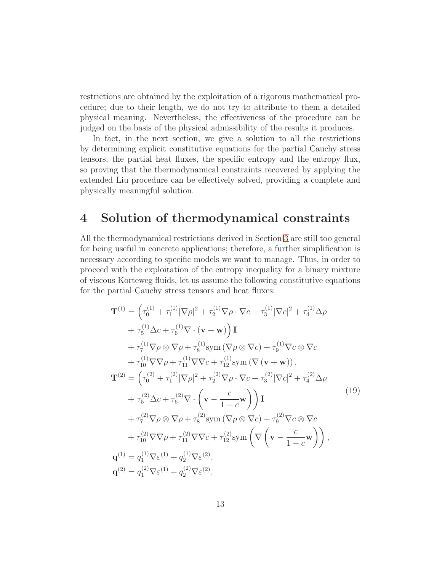restrictions are obtained by the exploitation of a rigorous mathematical procedure; due to their length, we do not try to attribute to them a detailed physical meaning. Nevertheless, the effectiveness of the procedure can be judged on the basis of the physical admissibility of the results it produces.

In fact, in the next section, we give a solution to all the restrictions by determining explicit constitutive equations for the partial Cauchy stress tensors, the partial heat fluxes, the specific entropy and the entropy flux, so proving that the thermodynamical constraints recovered by applying the extended Liu procedure can be effectively solved, providing a complete and physically meaningful solution.

### <span id="page-12-0"></span>4 Solution of thermodynamical constraints

All the thermodynamical restrictions derived in Section [3](#page-7-0) are still too general for being useful in concrete applications; therefore, a further simplification is necessary according to specific models we want to manage. Thus, in order to proceed with the exploitation of the entropy inequality for a binary mixture of viscous Korteweg fluids, let us assume the following constitutive equations for the partial Cauchy stress tensors and heat fluxes:

<span id="page-12-1"></span>
$$
\mathbf{T}^{(1)} = \left(\tau_0^{(1)} + \tau_1^{(1)} |\nabla \rho|^2 + \tau_2^{(1)} \nabla \rho \cdot \nabla c + \tau_3^{(1)} |\nabla c|^2 + \tau_4^{(1)} \Delta \rho \n+ \tau_5^{(1)} \Delta c + \tau_6^{(1)} \nabla \cdot (\mathbf{v} + \mathbf{w})\right) \mathbf{I} \n+ \tau_7^{(1)} \nabla \rho \otimes \nabla \rho + \tau_8^{(1)} \text{sym } (\nabla \rho \otimes \nabla c) + \tau_9^{(1)} \nabla c \otimes \nabla c \n+ \tau_{10}^{(1)} \nabla \nabla \rho + \tau_{11}^{(1)} \nabla \nabla c + \tau_{12}^{(1)} \text{sym } (\nabla (\mathbf{v} + \mathbf{w})), \n\mathbf{T}^{(2)} = \left(\tau_0^{(2)} + \tau_1^{(2)} |\nabla \rho|^2 + \tau_2^{(2)} \nabla \rho \cdot \nabla c + \tau_3^{(2)} |\nabla c|^2 + \tau_4^{(2)} \Delta \rho \n+ \tau_5^{(2)} \Delta c + \tau_6^{(2)} \nabla \cdot \left(\mathbf{v} - \frac{c}{1 - c} \mathbf{w}\right)\right) \mathbf{I} \n+ \tau_7^{(2)} \nabla \rho \otimes \nabla \rho + \tau_8^{(2)} \text{sym } (\nabla \rho \otimes \nabla c) + \tau_9^{(2)} \nabla c \otimes \nabla c \n+ \tau_{10}^{(2)} \nabla \nabla \rho + \tau_{11}^{(2)} \nabla \nabla c + \tau_{12}^{(2)} \text{sym } \left(\nabla \left(\mathbf{v} - \frac{c}{1 - c} \mathbf{w}\right)\right), \n\mathbf{q}^{(1)} = q_1^{(1)} \nabla \varepsilon^{(1)} + q_2^{(1)} \nabla \varepsilon^{(2)}, \n\mathbf{q}^{(2)} = q_1^{(2)} \nabla \varepsilon^{(1)} + q_2^{(2)} \nabla \varepsilon^{(2)},
$$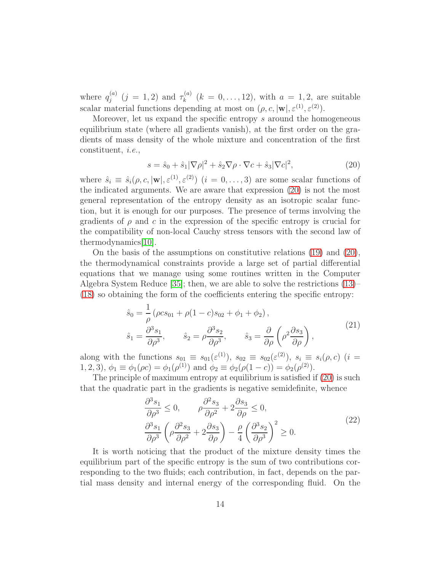where  $q_i^{(a)}$  $j_j^{(a)}$   $(j = 1, 2)$  and  $\tau_k^{(a)}$  $k_k^{(a)}$   $(k = 0, ..., 12)$ , with  $a = 1, 2$ , are suitable scalar material functions depending at most on  $(\rho, c, |\mathbf{w}|, \varepsilon^{(1)}, \varepsilon^{(2)})$ .

Moreover, let us expand the specific entropy s around the homogeneous equilibrium state (where all gradients vanish), at the first order on the gradients of mass density of the whole mixture and concentration of the first constituent, i.e.,

<span id="page-13-0"></span>
$$
s = \hat{s}_0 + \hat{s}_1 |\nabla \rho|^2 + \hat{s}_2 \nabla \rho \cdot \nabla c + \hat{s}_3 |\nabla c|^2, \tag{20}
$$

where  $\hat{s}_i \equiv \hat{s}_i(\rho, c, |\mathbf{w}|, \varepsilon^{(1)}, \varepsilon^{(2)})$   $(i = 0, \ldots, 3)$  are some scalar functions of the indicated arguments. We are aware that expression [\(20\)](#page-13-0) is not the most general representation of the entropy density as an isotropic scalar function, but it is enough for our purposes. The presence of terms involving the gradients of  $\rho$  and c in the expression of the specific entropy is crucial for the compatibility of non-local Cauchy stress tensors with the second law of thermodynamics[\[10\]](#page-26-8).

On the basis of the assumptions on constitutive relations [\(19\)](#page-12-1) and [\(20\)](#page-13-0), the thermodynamical constraints provide a large set of partial differential equations that we manage using some routines written in the Computer Algebra System Reduce [\[35\]](#page-28-11); then, we are able to solve the restrictions [\(13\)](#page-10-1)– [\(18\)](#page-11-0) so obtaining the form of the coefficients entering the specific entropy:

<span id="page-13-1"></span>
$$
\hat{s}_0 = \frac{1}{\rho} (\rho c s_{01} + \rho (1 - c) s_{02} + \phi_1 + \phi_2),
$$
  
\n
$$
\hat{s}_1 = \frac{\partial^3 s_1}{\partial \rho^3}, \qquad \hat{s}_2 = \rho \frac{\partial^3 s_2}{\partial \rho^3}, \qquad \hat{s}_3 = \frac{\partial}{\partial \rho} \left( \rho^2 \frac{\partial s_3}{\partial \rho} \right),
$$
\n(21)

along with the functions  $s_{01} \equiv s_{01}(\varepsilon^{(1)})$ ,  $s_{02} \equiv s_{02}(\varepsilon^{(2)})$ ,  $s_i \equiv s_i(\rho, c)$  (i = 1, 2, 3),  $\phi_1 \equiv \phi_1(\rho c) = \phi_1(\rho^{(1)})$  and  $\phi_2 \equiv \phi_2(\rho(1-c)) = \phi_2(\rho^{(2)})$ .

The principle of maximum entropy at equilibrium is satisfied if [\(20\)](#page-13-0) is such that the quadratic part in the gradients is negative semidefinite, whence

$$
\frac{\partial^3 s_1}{\partial \rho^3} \le 0, \qquad \rho \frac{\partial^2 s_3}{\partial \rho^2} + 2 \frac{\partial s_3}{\partial \rho} \le 0, \n\frac{\partial^3 s_1}{\partial \rho^3} \left( \rho \frac{\partial^2 s_3}{\partial \rho^2} + 2 \frac{\partial s_3}{\partial \rho} \right) - \frac{\rho}{4} \left( \frac{\partial^3 s_2}{\partial \rho^3} \right)^2 \ge 0.
$$
\n(22)

It is worth noticing that the product of the mixture density times the equilibrium part of the specific entropy is the sum of two contributions corresponding to the two fluids; each contribution, in fact, depends on the partial mass density and internal energy of the corresponding fluid. On the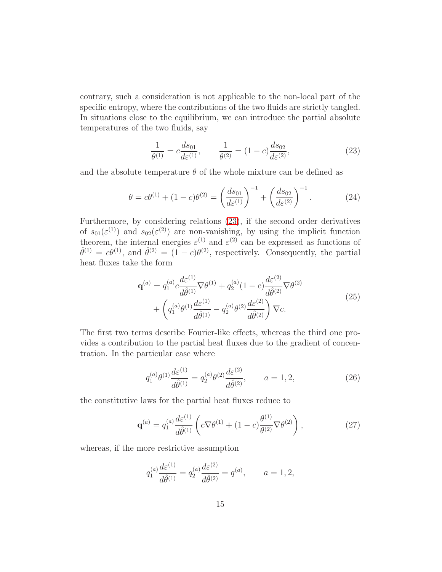contrary, such a consideration is not applicable to the non-local part of the specific entropy, where the contributions of the two fluids are strictly tangled. In situations close to the equilibrium, we can introduce the partial absolute temperatures of the two fluids, say

<span id="page-14-0"></span>
$$
\frac{1}{\theta^{(1)}} = c \frac{ds_{01}}{d\varepsilon^{(1)}}, \qquad \frac{1}{\theta^{(2)}} = (1 - c) \frac{ds_{02}}{d\varepsilon^{(2)}}, \tag{23}
$$

and the absolute temperature  $\theta$  of the whole mixture can be defined as

$$
\theta = c\theta^{(1)} + (1 - c)\theta^{(2)} = \left(\frac{ds_{01}}{d\varepsilon^{(1)}}\right)^{-1} + \left(\frac{ds_{02}}{d\varepsilon^{(2)}}\right)^{-1}.
$$
 (24)

Furthermore, by considering relations [\(23\)](#page-14-0), if the second order derivatives of  $s_{01}(\varepsilon^{(1)})$  and  $s_{02}(\varepsilon^{(2)})$  are non-vanishing, by using the implicit function theorem, the internal energies  $\varepsilon^{(1)}$  and  $\varepsilon^{(2)}$  can be expressed as functions of  $\hat{\theta}^{(1)} = c\theta^{(1)}$ , and  $\hat{\theta}^{(2)} = (1-c)\theta^{(2)}$ , respectively. Consequently, the partial heat fluxes take the form

$$
\mathbf{q}^{(a)} = q_1^{(a)} c \frac{d\varepsilon^{(1)}}{d\hat{\theta}^{(1)}} \nabla \theta^{(1)} + q_2^{(a)} (1 - c) \frac{d\varepsilon^{(2)}}{d\hat{\theta}^{(2)}} \nabla \theta^{(2)} + \left( q_1^{(a)} \theta^{(1)} \frac{d\varepsilon^{(1)}}{d\hat{\theta}^{(1)}} - q_2^{(a)} \theta^{(2)} \frac{d\varepsilon^{(2)}}{d\hat{\theta}^{(2)}} \right) \nabla c.
$$
 (25)

The first two terms describe Fourier-like effects, whereas the third one provides a contribution to the partial heat fluxes due to the gradient of concentration. In the particular case where

$$
q_1^{(a)}\theta^{(1)}\frac{d\varepsilon^{(1)}}{d\hat{\theta}^{(1)}} = q_2^{(a)}\theta^{(2)}\frac{d\varepsilon^{(2)}}{d\hat{\theta}^{(2)}}, \qquad a = 1, 2,
$$
 (26)

the constitutive laws for the partial heat fluxes reduce to

$$
\mathbf{q}^{(a)} = q_1^{(a)} \frac{d\varepsilon^{(1)}}{d\hat{\theta}^{(1)}} \left( c \nabla \theta^{(1)} + (1 - c) \frac{\theta^{(1)}}{\theta^{(2)}} \nabla \theta^{(2)} \right), \tag{27}
$$

whereas, if the more restrictive assumption

$$
q_1^{(a)} \frac{d \varepsilon^{(1)}}{d \hat{\theta}^{(1)}} = q_2^{(a)} \frac{d \varepsilon^{(2)}}{d \hat{\theta}^{(2)}} = q^{(a)}, \qquad a = 1, 2,
$$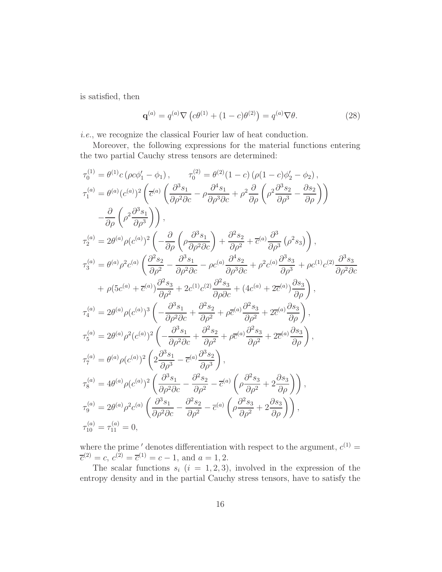is satisfied, then

$$
\mathbf{q}^{(a)} = q^{(a)} \nabla \left( c\theta^{(1)} + (1 - c)\theta^{(2)} \right) = q^{(a)} \nabla \theta.
$$
 (28)

i.e., we recognize the classical Fourier law of heat conduction.

Moreover, the following expressions for the material functions entering the two partial Cauchy stress tensors are determined:

$$
\tau_{0}^{(1)} = \theta^{(1)}c\left(\rho c\phi'_{1} - \phi_{1}\right), \qquad \tau_{0}^{(2)} = \theta^{(2)}(1 - c)\left(\rho(1 - c)\phi'_{2} - \phi_{2}\right),
$$
  
\n
$$
\tau_{1}^{(a)} = \theta^{(a)}(c^{(a)})^{2}\left(\overline{c}^{(a)}\left(\frac{\partial^{3}s_{1}}{\partial\rho^{2}\partial c} - \rho\frac{\partial^{4}s_{1}}{\partial\rho^{3}\partial c} + \rho^{2}\frac{\partial}{\partial\rho}\left(\rho^{2}\frac{\partial^{3}s_{2}}{\partial\rho^{3}} - \frac{\partial s_{2}}{\partial\rho}\right)\right)\right)
$$
  
\n
$$
-\frac{\partial}{\partial\rho}\left(\rho^{2}\frac{\partial^{3}s_{1}}{\partial\rho^{3}}\right),
$$
  
\n
$$
\tau_{2}^{(a)} = 2\theta^{(a)}\rho(c^{(a)})^{2}\left(-\frac{\partial}{\partial\rho}\left(\rho\frac{\partial^{3}s_{1}}{\partial\rho^{2}\partial c}\right) + \frac{\partial^{2}s_{2}}{\partial\rho^{2}} + \overline{c}^{(a)}\frac{\partial^{3}}{\partial\rho^{3}}\left(\rho^{2}s_{3}\right)\right),
$$
  
\n
$$
\tau_{3}^{(a)} = \theta^{(a)}\rho^{2}c^{(a)}\left(\frac{\partial^{2}s_{2}}{\partial\rho^{2}} - \frac{\partial^{3}s_{1}}{\partial\rho^{2}\partial c} - \rho c^{(a)}\frac{\partial^{4}s_{2}}{\partial\rho^{3}\partial c} + \rho^{2}c^{(a)}\frac{\partial^{3}s_{3}}{\partial\rho^{3}} + \rho c^{(1)}c^{(2)}\frac{\partial^{3}s_{3}}{\partial\rho^{2}\partial c} + \rho\left(\overline{c}^{(a)} + \overline{c}^{(a)}\right)\frac{\partial^{2}s_{3}}{\partial\rho^{2}} + 2c^{(1)}c^{(2)}\frac{\partial^{2}s_{3}}{\partial\rho\partial c} + (4c^{(a)} + 2\overline{c}^{(a)}\frac{\partial s_{3}}{\partial\rho}\right),
$$
  
\n
$$
\tau_{4}^{(a)} = 2\theta^{(a)}\rho(c^{(a)})^{3}\left(-\frac{\partial^{3}s_{1}}{\partial\rho^{2}\partial c} + \frac{\partial^{2}s_{2}}{\
$$

where the prime ' denotes differentiation with respect to the argument,  $c^{(1)} =$  $\overline{c}^{(2)} = c, c^{(2)} = \overline{c}^{(1)} = c - 1, \text{ and } a = 1, 2.$ 

The scalar functions  $s_i$  (i = 1, 2, 3), involved in the expression of the entropy density and in the partial Cauchy stress tensors, have to satisfy the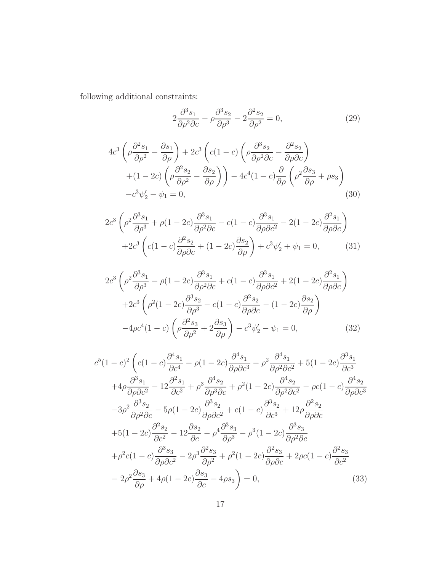following additional constraints:

<span id="page-16-0"></span>
$$
2\frac{\partial^3 s_1}{\partial \rho^2 \partial c} - \rho \frac{\partial^3 s_2}{\partial \rho^3} - 2\frac{\partial^2 s_2}{\partial \rho^2} = 0,
$$
 (29)

$$
4c^3 \left(\rho \frac{\partial^2 s_1}{\partial \rho^2} - \frac{\partial s_1}{\partial \rho}\right) + 2c^3 \left(c(1-c)\left(\rho \frac{\partial^3 s_2}{\partial \rho^2 \partial c} - \frac{\partial^2 s_2}{\partial \rho \partial c}\right) + (1-2c)\left(\rho \frac{\partial^2 s_2}{\partial \rho^2} - \frac{\partial s_2}{\partial \rho}\right)\right) - 4c^4(1-c)\frac{\partial}{\partial \rho}\left(\rho^2 \frac{\partial s_3}{\partial \rho} + \rho s_3\right) - c^3 \psi_2' - \psi_1 = 0,
$$
\n(30)

$$
2c^3 \left(\rho^2 \frac{\partial^3 s_1}{\partial \rho^3} + \rho (1 - 2c) \frac{\partial^3 s_1}{\partial \rho^2 \partial c} - c(1 - c) \frac{\partial^3 s_1}{\partial \rho \partial c^2} - 2(1 - 2c) \frac{\partial^2 s_1}{\partial \rho \partial c}\right) + 2c^3 \left(c(1 - c) \frac{\partial^2 s_2}{\partial \rho \partial c} + (1 - 2c) \frac{\partial s_2}{\partial \rho}\right) + c^3 \psi_2' + \psi_1 = 0,
$$
 (31)

$$
2c^3 \left(\rho^2 \frac{\partial^3 s_1}{\partial \rho^3} - \rho(1 - 2c) \frac{\partial^3 s_1}{\partial \rho^2 \partial c} + c(1 - c) \frac{\partial^3 s_1}{\partial \rho \partial c^2} + 2(1 - 2c) \frac{\partial^2 s_1}{\partial \rho \partial c}\right)
$$

$$
+ 2c^3 \left(\rho^2 (1 - 2c) \frac{\partial^3 s_2}{\partial \rho^3} - c(1 - c) \frac{\partial^2 s_2}{\partial \rho \partial c} - (1 - 2c) \frac{\partial s_2}{\partial \rho}\right)
$$

$$
-4\rho c^4 (1 - c) \left(\rho \frac{\partial^2 s_3}{\partial \rho^2} + 2 \frac{\partial s_3}{\partial \rho}\right) - c^3 \psi_2' - \psi_1 = 0,
$$
(32)

$$
c^{5}(1-c)^{2}\left(c(1-c)\frac{\partial^{4}s_{1}}{\partial c^{4}}-\rho(1-2c)\frac{\partial^{4}s_{1}}{\partial\rho\partial c^{3}}-\rho^{2}\frac{\partial^{4}s_{1}}{\partial\rho^{2}\partial c^{2}}+5(1-2c)\frac{\partial^{3}s_{1}}{\partial c^{3}}+4\rho\frac{\partial^{3}s_{1}}{\partial\rho\partial c^{2}}-12\frac{\partial^{2}s_{1}}{\partial c^{2}}+\rho^{3}\frac{\partial^{4}s_{2}}{\partial\rho^{3}\partial c}+\rho^{2}(1-2c)\frac{\partial^{4}s_{2}}{\partial\rho^{2}\partial c^{2}}-\rho c(1-c)\frac{\partial^{4}s_{2}}{\partial\rho\partial c^{3}}-3\rho^{2}\frac{\partial^{3}s_{2}}{\partial\rho^{2}\partial c}-5\rho(1-2c)\frac{\partial^{3}s_{2}}{\partial\rho\partial c^{2}}+c(1-c)\frac{\partial^{3}s_{2}}{\partial c^{3}}+12\rho\frac{\partial^{2}s_{2}}{\partial\rho\partial c}
$$

$$
+5(1-2c)\frac{\partial^{2}s_{2}}{\partial c^{2}}-12\frac{\partial s_{2}}{\partial c}-\rho^{4}\frac{\partial^{3}s_{3}}{\partial\rho^{3}}-\rho^{3}(1-2c)\frac{\partial^{3}s_{3}}{\partial\rho^{2}\partial c}
$$

$$
+\rho^{2}c(1-c)\frac{\partial^{3}s_{3}}{\partial\rho\partial c^{2}}-2\rho^{3}\frac{\partial^{2}s_{3}}{\partial\rho^{2}}+\rho^{2}(1-2c)\frac{\partial^{2}s_{3}}{\partial\rho\partial c}+2\rho c(1-c)\frac{\partial^{2}s_{3}}{\partial c^{2}}
$$

$$
-2\rho^{2}\frac{\partial s_{3}}{\partial\rho}+4\rho(1-2c)\frac{\partial s_{3}}{\partial c}-4\rho s_{3}\bigg)=0,
$$
(33)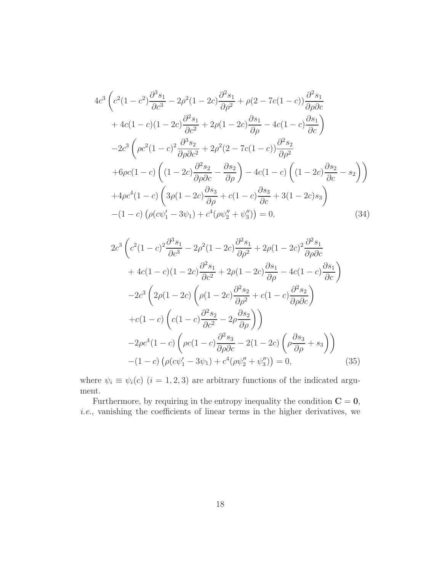$$
4c^{3} \left(c^{2}(1-c^{2})\frac{\partial^{3}s_{1}}{\partial c^{3}} - 2\rho^{2}(1-2c)\frac{\partial^{2}s_{1}}{\partial \rho^{2}} + \rho(2-7c(1-c))\frac{\partial^{2}s_{1}}{\partial \rho\partial c} + 4c(1-c)(1-2c)\frac{\partial^{2}s_{1}}{\partial c^{2}} + 2\rho(1-2c)\frac{\partial s_{1}}{\partial \rho} - 4c(1-c)\frac{\partial s_{1}}{\partial c}\right)
$$
  

$$
-2c^{3} \left(\rho c^{2}(1-c)^{2}\frac{\partial^{3}s_{2}}{\partial \rho\partial c^{2}} + 2\rho^{2}(2-7c(1-c))\frac{\partial^{2}s_{2}}{\partial \rho^{2}} + 6\rho c(1-c)\left((1-2c)\frac{\partial^{2}s_{2}}{\partial \rho\partial c} - \frac{\partial s_{2}}{\partial \rho}\right) - 4c(1-c)\left((1-2c)\frac{\partial s_{2}}{\partial c} - s_{2}\right)\right)
$$
  

$$
+4\rho c^{4}(1-c)\left(3\rho(1-2c)\frac{\partial s_{3}}{\partial \rho} + c(1-c)\frac{\partial s_{3}}{\partial c} + 3(1-2c)s_{3}\right)
$$
  

$$
-(1-c)\left(\rho(c\psi'_{1} - 3\psi_{1}) + c^{4}(\rho\psi''_{2} + \psi''_{3})\right) = 0,
$$
 (34)

<span id="page-17-0"></span>
$$
2c^3 \left(c^2(1-c)^2 \frac{\partial^3 s_1}{\partial c^3} - 2\rho^2(1-2c) \frac{\partial^2 s_1}{\partial \rho^2} + 2\rho(1-2c)^2 \frac{\partial^2 s_1}{\partial \rho \partial c} + 4c(1-c)(1-2c) \frac{\partial^2 s_1}{\partial c^2} + 2\rho(1-2c) \frac{\partial s_1}{\partial \rho} - 4c(1-c) \frac{\partial s_1}{\partial c}\right)
$$
  

$$
-2c^3 \left(2\rho(1-2c) \left(\rho(1-2c) \frac{\partial^2 s_2}{\partial \rho^2} + c(1-c) \frac{\partial^2 s_2}{\partial \rho \partial c}\right) + c(1-c) \left(c(1-c) \frac{\partial^2 s_2}{\partial c^2} - 2\rho \frac{\partial s_2}{\partial \rho}\right)\right)
$$
  

$$
-2\rho c^4(1-c) \left(\rho c(1-c) \frac{\partial^2 s_3}{\partial \rho \partial c} - 2(1-2c) \left(\rho \frac{\partial s_3}{\partial \rho} + s_3\right)\right)
$$
  

$$
-(1-c) \left(\rho(c\psi'_1 - 3\psi_1) + c^4(\rho\psi''_2 + \psi''_3)\right) = 0,
$$
 (35)

where  $\psi_i \equiv \psi_i(c)$   $(i = 1, 2, 3)$  are arbitrary functions of the indicated argument.

Furthermore, by requiring in the entropy inequality the condition  $C = 0$ , i.e., vanishing the coefficients of linear terms in the higher derivatives, we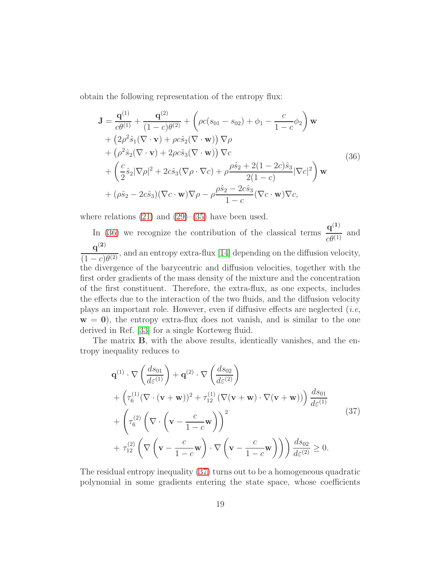obtain the following representation of the entropy flux:

<span id="page-18-0"></span>
$$
\mathbf{J} = \frac{\mathbf{q}^{(1)}}{c\theta^{(1)}} + \frac{\mathbf{q}^{(2)}}{(1-c)\theta^{(2)}} + \left(\rho c(s_{01} - s_{02}) + \phi_1 - \frac{c}{1-c}\phi_2\right) \mathbf{w} \n+ \left(2\rho^2 \hat{s}_1 (\nabla \cdot \mathbf{v}) + \rho c \hat{s}_2 (\nabla \cdot \mathbf{w})\right) \nabla \rho \n+ \left(\rho^2 \hat{s}_2 (\nabla \cdot \mathbf{v}) + 2\rho c \hat{s}_3 (\nabla \cdot \mathbf{w})\right) \nabla c \n+ \left(\frac{c}{2} \hat{s}_2 |\nabla \rho|^2 + 2c \hat{s}_3 (\nabla \rho \cdot \nabla c) + \rho \frac{\rho \hat{s}_2 + 2(1-2c)\hat{s}_3}{2(1-c)} |\nabla c|^2\right) \mathbf{w} \n+ (\rho \hat{s}_2 - 2c \hat{s}_3) (\nabla c \cdot \mathbf{w}) \nabla \rho - \rho \frac{\rho \hat{s}_2 - 2c \hat{s}_3}{1-c} (\nabla c \cdot \mathbf{w}) \nabla c,
$$
\n(36)

where relations  $(21)$  and  $(29)$ – $(35)$  have been used.

In [\(36\)](#page-18-0) we recognize the contribution of the classical terms  $\frac{\mathbf{q}^{(1)}}{q^{(1)}}$  $\frac{q}{c\theta^{(1)}}$  and  $q^{(2)}$  $\frac{q}{(1-c)\theta^{(2)}}$ , and an entropy extra-flux [\[14\]](#page-27-0) depending on the diffusion velocity, the divergence of the barycentric and diffusion velocities, together with the first order gradients of the mass density of the mixture and the concentration of the first constituent. Therefore, the extra-flux, as one expects, includes the effects due to the interaction of the two fluids, and the diffusion velocity plays an important role. However, even if diffusive effects are neglected  $(i.e,$  $w = 0$ , the entropy extra-flux does not vanish, and is similar to the one derived in Ref. [\[33\]](#page-28-9) for a single Korteweg fluid.

The matrix B, with the above results, identically vanishes, and the entropy inequality reduces to

<span id="page-18-1"></span>
$$
\mathbf{q}^{(1)} \cdot \nabla \left(\frac{ds_{01}}{d\varepsilon^{(1)}}\right) + \mathbf{q}^{(2)} \cdot \nabla \left(\frac{ds_{02}}{d\varepsilon^{(2)}}\right) \n+ \left(\tau_6^{(1)}(\nabla \cdot (\mathbf{v} + \mathbf{w}))^2 + \tau_{12}^{(1)}(\nabla(\mathbf{v} + \mathbf{w}) \cdot \nabla(\mathbf{v} + \mathbf{w}))\right) \frac{ds_{01}}{d\varepsilon^{(1)}} \n+ \left(\tau_6^{(2)}\left(\nabla \cdot \left(\mathbf{v} - \frac{c}{1-c}\mathbf{w}\right)\right)^2 \n+ \tau_{12}^{(2)}\left(\nabla \left(\mathbf{v} - \frac{c}{1-c}\mathbf{w}\right) \cdot \nabla \left(\mathbf{v} - \frac{c}{1-c}\mathbf{w}\right)\right)\right) \frac{ds_{02}}{d\varepsilon^{(2)}} \ge 0.
$$
\n(37)

The residual entropy inequality [\(37\)](#page-18-1) turns out to be a homogeneous quadratic polynomial in some gradients entering the state space, whose coefficients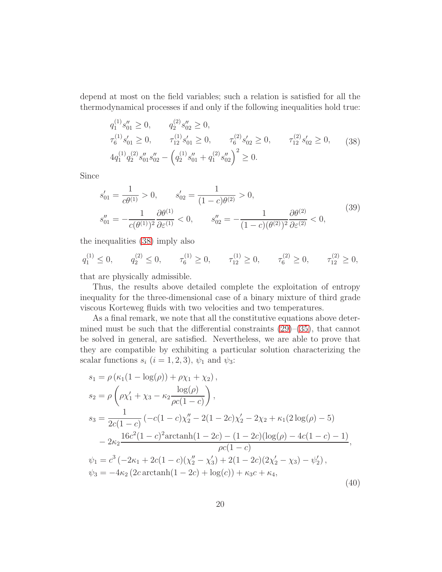depend at most on the field variables; such a relation is satisfied for all the thermodynamical processes if and only if the following inequalities hold true:

<span id="page-19-0"></span>
$$
q_1^{(1)} s_{01}'' \ge 0, \t q_2^{(2)} s_{02}'' \ge 0,
$$
  
\n
$$
\tau_6^{(1)} s_{01}' \ge 0, \t \tau_{12}^{(1)} s_{01}' \ge 0, \t \tau_6^{(2)} s_{02}' \ge 0, \t \tau_{12}^{(2)} s_{02}' \ge 0,
$$
  
\n
$$
4q_1^{(1)} q_2^{(2)} s_{01}'' s_{02}'' - \left( q_2^{(1)} s_{01}'' + q_1^{(2)} s_{02}'' \right)^2 \ge 0.
$$
\n(38)

Since

$$
s'_{01} = \frac{1}{c\theta^{(1)}} > 0, \t s'_{02} = \frac{1}{(1-c)\theta^{(2)}} > 0,
$$
  
\n
$$
s''_{01} = -\frac{1}{c(\theta^{(1)})^2} \frac{\partial \theta^{(1)}}{\partial \varepsilon^{(1)}} < 0, \t s''_{02} = -\frac{1}{(1-c)(\theta^{(2)})^2} \frac{\partial \theta^{(2)}}{\partial \varepsilon^{(2)}} < 0,
$$
\n
$$
(39)
$$

the inequalities [\(38\)](#page-19-0) imply also

$$
q_1^{(1)} \le 0, \qquad q_2^{(2)} \le 0, \qquad \tau_6^{(1)} \ge 0, \qquad \tau_{12}^{(1)} \ge 0, \qquad \tau_6^{(2)} \ge 0, \qquad \tau_{12}^{(2)} \ge 0,
$$

that are physically admissible.

Thus, the results above detailed complete the exploitation of entropy inequality for the three-dimensional case of a binary mixture of third grade viscous Korteweg fluids with two velocities and two temperatures.

As a final remark, we note that all the constitutive equations above determined must be such that the differential constraints  $(29)$ – $(35)$ , that cannot be solved in general, are satisfied. Nevertheless, we are able to prove that they are compatible by exhibiting a particular solution characterizing the scalar functions  $s_i$   $(i = 1, 2, 3)$ ,  $\psi_1$  and  $\psi_3$ :

$$
s_1 = \rho (\kappa_1 (1 - \log(\rho)) + \rho \chi_1 + \chi_2),
$$
  
\n
$$
s_2 = \rho \left( \rho \chi_1' + \chi_3 - \kappa_2 \frac{\log(\rho)}{\rho c (1 - c)} \right),
$$
  
\n
$$
s_3 = \frac{1}{2c(1 - c)} \left( -c(1 - c)\chi_2'' - 2(1 - 2c)\chi_2' - 2\chi_2 + \kappa_1 (2\log(\rho) - 5) \right)
$$
  
\n
$$
- 2\kappa_2 \frac{16c^2(1 - c)^2 \text{arctanh}(1 - 2c) - (1 - 2c)(\log(\rho) - 4c(1 - c) - 1)}{\rho c(1 - c)},
$$
  
\n
$$
\psi_1 = c^3 \left( -2\kappa_1 + 2c(1 - c)(\chi_2'' - \chi_3') + 2(1 - 2c)(2\chi_2' - \chi_3) - \psi_2' \right),
$$
  
\n
$$
\psi_3 = -4\kappa_2 (2c \arctanh(1 - 2c) + \log(c)) + \kappa_3 c + \kappa_4,
$$
  
\n(40)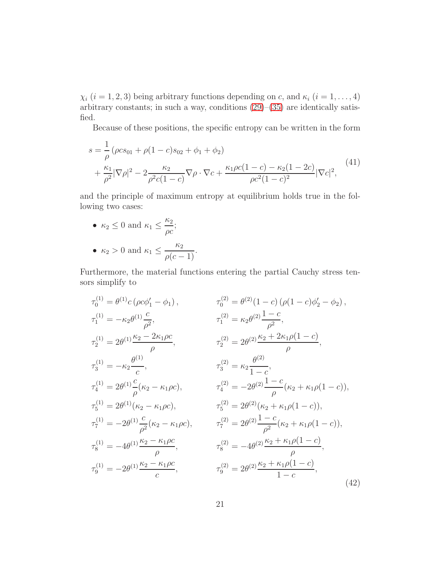$\chi_i$   $(i = 1, 2, 3)$  being arbitrary functions depending on c, and  $\kappa_i$   $(i = 1, ..., 4)$ arbitrary constants; in such a way, conditions [\(29\)](#page-16-0)–[\(35\)](#page-17-0) are identically satisfied.

Because of these positions, the specific entropy can be written in the form

$$
s = \frac{1}{\rho} (\rho c s_{01} + \rho (1 - c) s_{02} + \phi_1 + \phi_2)
$$
  
+  $\frac{\kappa_1}{\rho^2} |\nabla \rho|^2 - 2 \frac{\kappa_2}{\rho^2 c (1 - c)} \nabla \rho \cdot \nabla c + \frac{\kappa_1 \rho c (1 - c) - \kappa_2 (1 - 2c)}{\rho c^2 (1 - c)^2} |\nabla c|^2,$  (41)

and the principle of maximum entropy at equilibrium holds true in the following two cases:

- $\kappa_2 \leq 0$  and  $\kappa_1 \leq \frac{\kappa_2}{\kappa_2}$ ρc ;
- $\kappa_2 > 0$  and  $\kappa_1 \leq \frac{\kappa_2}{\kappa_2}$  $\frac{\log}{\rho(c-1)}$ .

Furthermore, the material functions entering the partial Cauchy stress tensors simplify to

<span id="page-20-0"></span>
$$
\tau_{0}^{(1)} = \theta^{(1)}c \left(\rho c \phi'_{1} - \phi_{1}\right), \qquad \tau_{0}^{(2)} = \theta^{(2)}(1-c) \left(\rho (1-c) \phi'_{2} - \phi_{2}\right),
$$
  
\n
$$
\tau_{1}^{(1)} = -\kappa_{2} \theta^{(1)} \frac{c}{\rho^{2}}, \qquad \tau_{1}^{(2)} = \kappa_{2} \theta^{(2)} \frac{1-c}{\rho^{2}},
$$
  
\n
$$
\tau_{2}^{(1)} = 2\theta^{(1)} \frac{\kappa_{2} - 2\kappa_{1}\rho c}{\rho}, \qquad \tau_{2}^{(2)} = 2\theta^{(2)} \frac{\kappa_{2} + 2\kappa_{1}\rho (1-c)}{\rho},
$$
  
\n
$$
\tau_{3}^{(1)} = -\kappa_{2} \frac{\theta^{(1)}}{c}, \qquad \tau_{3}^{(2)} = \kappa_{2} \frac{\theta^{(2)}}{1-c},
$$
  
\n
$$
\tau_{4}^{(1)} = 2\theta^{(1)} \frac{c}{\rho} (\kappa_{2} - \kappa_{1}\rho c), \qquad \tau_{4}^{(2)} = -2\theta^{(2)} \frac{1-c}{\rho} (\kappa_{2} + \kappa_{1}\rho (1-c)),
$$
  
\n
$$
\tau_{5}^{(1)} = 2\theta^{(1)} (\kappa_{2} - \kappa_{1}\rho c), \qquad \tau_{5}^{(2)} = 2\theta^{(2)} (\kappa_{2} + \kappa_{1}\rho (1-c)),
$$
  
\n
$$
\tau_{7}^{(1)} = -2\theta^{(1)} \frac{c}{\rho^{2}} (\kappa_{2} - \kappa_{1}\rho c), \qquad \tau_{7}^{(2)} = 2\theta^{(2)} \frac{1-c}{\rho^{2}} (\kappa_{2} + \kappa_{1}\rho (1-c)),
$$
  
\n
$$
\tau_{8}^{(1)} = -4\theta^{(1)} \frac{\kappa_{2} - \kappa_{1}\rho c}{\rho}, \qquad \tau_{8}^{(2)} = -4\theta^{(2)} \frac{\kappa_{2} + \kappa_{1}\rho (1-c)}{\rho},
$$
  
\n
$$
\tau_{9}^{(1)} = -2\theta^{(1)} \frac{\kappa_{2} - \kappa_{1}\rho c}{
$$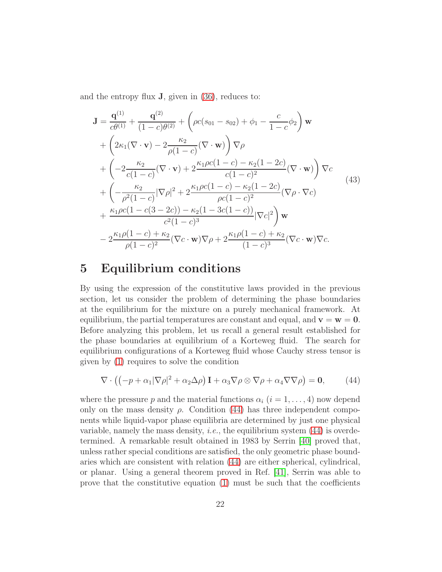and the entropy flux  $J$ , given in  $(36)$ , reduces to:

$$
\mathbf{J} = \frac{\mathbf{q}^{(1)}}{c\theta^{(1)}} + \frac{\mathbf{q}^{(2)}}{(1-c)\theta^{(2)}} + \left(\rho c(s_{01} - s_{02}) + \phi_1 - \frac{c}{1-c}\phi_2\right) \mathbf{w}
$$
  
+  $\left(2\kappa_1(\nabla \cdot \mathbf{v}) - 2\frac{\kappa_2}{\rho(1-c)}(\nabla \cdot \mathbf{w})\right) \nabla \rho$   
+  $\left(-2\frac{\kappa_2}{c(1-c)}(\nabla \cdot \mathbf{v}) + 2\frac{\kappa_1\rho c(1-c) - \kappa_2(1-2c)}{c(1-c)^2}(\nabla \cdot \mathbf{w})\right) \nabla c$   
+  $\left(-\frac{\kappa_2}{\rho^2(1-c)}|\nabla \rho|^2 + 2\frac{\kappa_1\rho c(1-c) - \kappa_2(1-2c)}{\rho c(1-c)^2}(\nabla \rho \cdot \nabla c)\right)$   
+  $\frac{\kappa_1\rho c(1-c(3-2c)) - \kappa_2(1-3c(1-c))}{c^2(1-c)^3}|\nabla c|^2\right) \mathbf{w}$   
-  $2\frac{\kappa_1\rho(1-c) + \kappa_2}{\rho(1-c)^2}(\nabla c \cdot \mathbf{w}) \nabla \rho + 2\frac{\kappa_1\rho(1-c) + \kappa_2}{(1-c)^3}(\nabla c \cdot \mathbf{w}) \nabla c.$  (43)

### <span id="page-21-0"></span>5 Equilibrium conditions

By using the expression of the constitutive laws provided in the previous section, let us consider the problem of determining the phase boundaries at the equilibrium for the mixture on a purely mechanical framework. At equilibrium, the partial temperatures are constant and equal, and  $\mathbf{v} = \mathbf{w} = \mathbf{0}$ . Before analyzing this problem, let us recall a general result established for the phase boundaries at equilibrium of a Korteweg fluid. The search for equilibrium configurations of a Korteweg fluid whose Cauchy stress tensor is given by [\(1\)](#page-2-0) requires to solve the condition

<span id="page-21-1"></span>
$$
\nabla \cdot \left( \left( -p + \alpha_1 |\nabla \rho|^2 + \alpha_2 \Delta \rho \right) \mathbf{I} + \alpha_3 \nabla \rho \otimes \nabla \rho + \alpha_4 \nabla \nabla \rho \right) = \mathbf{0},\tag{44}
$$

where the pressure p and the material functions  $\alpha_i$   $(i = 1, \ldots, 4)$  now depend only on the mass density  $\rho$ . Condition [\(44\)](#page-21-1) has three independent components while liquid-vapor phase equilibria are determined by just one physical variable, namely the mass density, *i.e.*, the equilibrium system  $(44)$  is overdetermined. A remarkable result obtained in 1983 by Serrin [\[40\]](#page-29-4) proved that, unless rather special conditions are satisfied, the only geometric phase boundaries which are consistent with relation [\(44\)](#page-21-1) are either spherical, cylindrical, or planar. Using a general theorem proved in Ref. [\[41\]](#page-29-5), Serrin was able to prove that the constitutive equation  $(1)$  must be such that the coefficients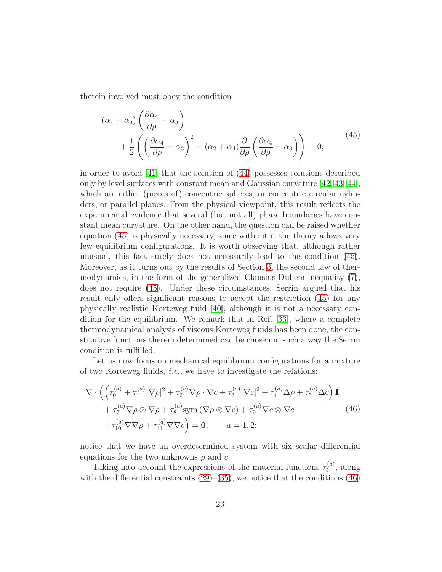therein involved must obey the condition

<span id="page-22-0"></span>
$$
(\alpha_1 + \alpha_3) \left( \frac{\partial \alpha_4}{\partial \rho} - \alpha_3 \right) + \frac{1}{2} \left( \left( \frac{\partial \alpha_4}{\partial \rho} - \alpha_3 \right)^2 - (\alpha_2 + \alpha_4) \frac{\partial}{\partial \rho} \left( \frac{\partial \alpha_4}{\partial \rho} - \alpha_3 \right) \right) = 0, \tag{45}
$$

in order to avoid [\[41\]](#page-29-5) that the solution of [\(44\)](#page-21-1) possesses solutions described only by level surfaces with constant mean and Gaussian curvature [\[42,](#page-29-6) [43,](#page-29-7) [44\]](#page-29-8), which are either (pieces of) concentric spheres, or concentric circular cylinders, or parallel planes. From the physical viewpoint, this result reflects the experimental evidence that several (but not all) phase boundaries have constant mean curvature. On the other hand, the question can be raised whether equation [\(45\)](#page-22-0) is physically necessary, since without it the theory allows very few equilibrium configurations. It is worth observing that, although rather unusual, this fact surely does not necessarily lead to the condition [\(45\)](#page-22-0). Moreover, as it turns out by the results of Section [3,](#page-7-0) the second law of thermodynamics, in the form of the generalized Clausius-Duhem inequality [\(7\)](#page-8-0), does not require [\(45\)](#page-22-0). Under these circumstances, Serrin argued that his result only offers significant reasons to accept the restriction [\(45\)](#page-22-0) for any physically realistic Korteweg fluid [\[40\]](#page-29-4), although it is not a necessary condition for the equilibrium. We remark that in Ref. [\[33\]](#page-28-9), where a complete thermodynamical analysis of viscous Korteweg fluids has been done, the constitutive functions therein determined can be chosen in such a way the Serrin condition is fulfilled.

Let us now focus on mechanical equilibrium configurations for a mixture of two Korteweg fluids, i.e., we have to investigate the relations:

<span id="page-22-1"></span>
$$
\nabla \cdot \left( \left( \tau_0^{(a)} + \tau_1^{(a)} |\nabla \rho|^2 + \tau_2^{(a)} \nabla \rho \cdot \nabla c + \tau_3^{(a)} |\nabla c|^2 + \tau_4^{(a)} \Delta \rho + \tau_5^{(a)} \Delta c \right) \mathbf{I} + \tau_7^{(a)} \nabla \rho \otimes \nabla \rho + \tau_8^{(a)} \text{sym } (\nabla \rho \otimes \nabla c) + \tau_9^{(a)} \nabla c \otimes \nabla c + \tau_{10}^{(a)} \nabla \nabla \rho + \tau_{11}^{(a)} \nabla \nabla c \right) = \mathbf{0}, \qquad a = 1, 2;
$$
\n(46)

notice that we have an overdetermined system with six scalar differential equations for the two unknowns  $\rho$  and c.

Taking into account the expressions of the material functions  $\tau_i^{(a)}$  $i^{(a)}$ , along with the differential constraints  $(29)$ – $(35)$ , we notice that the conditions  $(46)$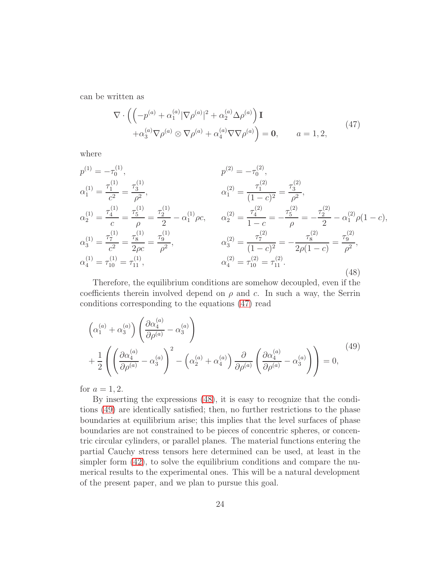can be written as

<span id="page-23-0"></span>
$$
\nabla \cdot \left( \left( -p^{(a)} + \alpha_1^{(a)} |\nabla \rho^{(a)}|^2 + \alpha_2^{(a)} \Delta \rho^{(a)} \right) \mathbf{I} + \alpha_3^{(a)} \nabla \rho^{(a)} \otimes \nabla \rho^{(a)} + \alpha_4^{(a)} \nabla \nabla \rho^{(a)} \right) = \mathbf{0}, \qquad a = 1, 2,
$$
\n(47)

where

<span id="page-23-1"></span>
$$
p^{(1)} = -\tau_0^{(1)}, \qquad p^{(2)} = -\tau_0^{(2)},
$$
  
\n
$$
\alpha_1^{(1)} = \frac{\tau_1^{(1)}}{c^2} = \frac{\tau_3^{(1)}}{\rho^2}, \qquad \alpha_1^{(2)} = \frac{\tau_1^{(2)}}{(1-c)^2} = \frac{\tau_3^{(2)}}{\rho^2},
$$
  
\n
$$
\alpha_2^{(1)} = \frac{\tau_4^{(1)}}{c} = \frac{\tau_5^{(1)}}{\rho} = \frac{\tau_2^{(1)}}{2} - \alpha_1^{(1)} \rho c, \qquad \alpha_2^{(2)} = \frac{\tau_4^{(2)}}{1-c} = -\frac{\tau_5^{(2)}}{\rho} = -\frac{\tau_2^{(2)}}{2} - \alpha_1^{(2)} \rho (1-c),
$$
  
\n
$$
\alpha_3^{(1)} = \frac{\tau_7^{(1)}}{c^2} = \frac{\tau_8^{(1)}}{2\rho c} = \frac{\tau_9^{(1)}}{\rho^2}, \qquad \alpha_3^{(2)} = \frac{\tau_7^{(2)}}{(1-c)^2} = -\frac{\tau_8^{(2)}}{2\rho (1-c)} = \frac{\tau_9^{(2)}}{\rho^2},
$$
  
\n
$$
\alpha_4^{(1)} = \tau_{10}^{(1)} = \tau_{11}^{(1)}, \qquad \alpha_4^{(2)} = \tau_{10}^{(2)} = \tau_{11}^{(2)}.
$$
  
\n(48)

Therefore, the equilibrium conditions are somehow decoupled, even if the coefficients therein involved depend on  $\rho$  and c. In such a way, the Serrin conditions corresponding to the equations [\(47\)](#page-23-0) read

<span id="page-23-2"></span>
$$
\left(\alpha_1^{(a)} + \alpha_3^{(a)}\right) \left(\frac{\partial \alpha_4^{(a)}}{\partial \rho^{(a)}} - \alpha_3^{(a)}\right) + \frac{1}{2} \left( \left(\frac{\partial \alpha_4^{(a)}}{\partial \rho^{(a)}} - \alpha_3^{(a)}\right)^2 - \left(\alpha_2^{(a)} + \alpha_4^{(a)}\right) \frac{\partial}{\partial \rho^{(a)}} \left(\frac{\partial \alpha_4^{(a)}}{\partial \rho^{(a)}} - \alpha_3^{(a)}\right) \right) = 0, \tag{49}
$$

for  $a = 1, 2$ .

By inserting the expressions [\(48\)](#page-23-1), it is easy to recognize that the conditions [\(49\)](#page-23-2) are identically satisfied; then, no further restrictions to the phase boundaries at equilibrium arise; this implies that the level surfaces of phase boundaries are not constrained to be pieces of concentric spheres, or concentric circular cylinders, or parallel planes. The material functions entering the partial Cauchy stress tensors here determined can be used, at least in the simpler form [\(42\)](#page-20-0), to solve the equilibrium conditions and compare the numerical results to the experimental ones. This will be a natural development of the present paper, and we plan to pursue this goal.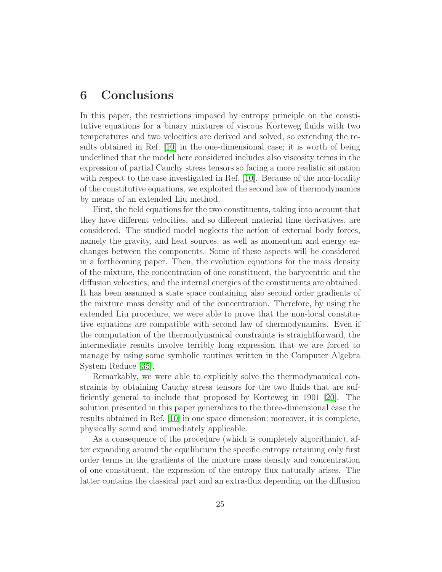### <span id="page-24-0"></span>6 Conclusions

In this paper, the restrictions imposed by entropy principle on the constitutive equations for a binary mixtures of viscous Korteweg fluids with two temperatures and two velocities are derived and solved, so extending the results obtained in Ref. [\[10\]](#page-26-8) in the one-dimensional case; it is worth of being underlined that the model here considered includes also viscosity terms in the expression of partial Cauchy stress tensors so facing a more realistic situation with respect to the case investigated in Ref. [\[10\]](#page-26-8). Because of the non-locality of the constitutive equations, we exploited the second law of thermodynamics by means of an extended Liu method.

First, the field equations for the two constituents, taking into account that they have different velocities, and so different material time derivatives, are considered. The studied model neglects the action of external body forces, namely the gravity, and heat sources, as well as momentum and energy exchanges between the components. Some of these aspects will be considered in a forthcoming paper. Then, the evolution equations for the mass density of the mixture, the concentration of one constituent, the barycentric and the diffusion velocities, and the internal energies of the constituents are obtained. It has been assumed a state space containing also second order gradients of the mixture mass density and of the concentration. Therefore, by using the extended Liu procedure, we were able to prove that the non-local constitutive equations are compatible with second law of thermodynamics. Even if the computation of the thermodynamical constraints is straightforward, the intermediate results involve terribly long expression that we are forced to manage by using some symbolic routines written in the Computer Algebra System Reduce [\[35\]](#page-28-11).

Remarkably, we were able to explicitly solve the thermodynamical constraints by obtaining Cauchy stress tensors for the two fluids that are sufficiently general to include that proposed by Korteweg in 1901 [\[20\]](#page-27-6). The solution presented in this paper generalizes to the three-dimensional case the results obtained in Ref. [\[10\]](#page-26-8) in one space dimension; moreover, it is complete, physically sound and immediately applicable.

As a consequence of the procedure (which is completely algorithmic), after expanding around the equilibrium the specific entropy retaining only first order terms in the gradients of the mixture mass density and concentration of one constituent, the expression of the entropy flux naturally arises. The latter contains the classical part and an extra-flux depending on the diffusion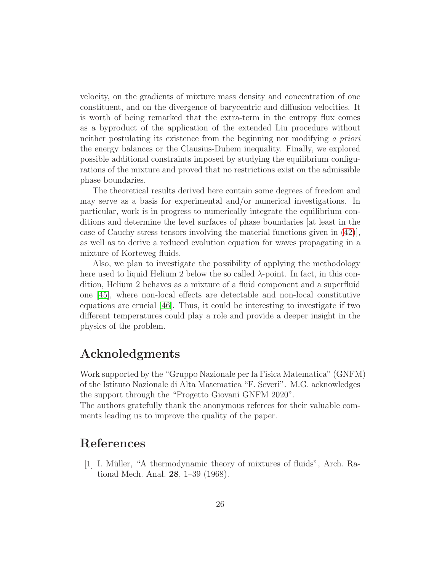velocity, on the gradients of mixture mass density and concentration of one constituent, and on the divergence of barycentric and diffusion velocities. It is worth of being remarked that the extra-term in the entropy flux comes as a byproduct of the application of the extended Liu procedure without neither postulating its existence from the beginning nor modifying a priori the energy balances or the Clausius-Duhem inequality. Finally, we explored possible additional constraints imposed by studying the equilibrium configurations of the mixture and proved that no restrictions exist on the admissible phase boundaries.

The theoretical results derived here contain some degrees of freedom and may serve as a basis for experimental and/or numerical investigations. In particular, work is in progress to numerically integrate the equilibrium conditions and determine the level surfaces of phase boundaries [at least in the case of Cauchy stress tensors involving the material functions given in [\(42\)](#page-20-0)], as well as to derive a reduced evolution equation for waves propagating in a mixture of Korteweg fluids.

Also, we plan to investigate the possibility of applying the methodology here used to liquid Helium 2 below the so called  $\lambda$ -point. In fact, in this condition, Helium 2 behaves as a mixture of a fluid component and a superfluid one [\[45\]](#page-29-9), where non-local effects are detectable and non-local constitutive equations are crucial [\[46\]](#page-29-10). Thus, it could be interesting to investigate if two different temperatures could play a role and provide a deeper insight in the physics of the problem.

### Acknoledgments

Work supported by the "Gruppo Nazionale per la Fisica Matematica" (GNFM) of the Istituto Nazionale di Alta Matematica "F. Severi". M.G. acknowledges the support through the "Progetto Giovani GNFM 2020".

The authors gratefully thank the anonymous referees for their valuable comments leading us to improve the quality of the paper.

### <span id="page-25-0"></span>References

[1] I. Müller, "A thermodynamic theory of mixtures of fluids", Arch. Rational Mech. Anal. 28, 1–39 (1968).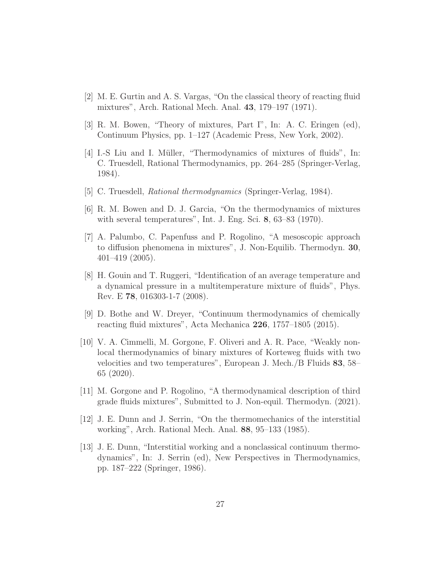- <span id="page-26-1"></span><span id="page-26-0"></span>[2] M. E. Gurtin and A. S. Vargas, "On the classical theory of reacting fluid mixtures", Arch. Rational Mech. Anal. 43, 179–197 (1971).
- <span id="page-26-2"></span>[3] R. M. Bowen, "Theory of mixtures, Part I", In: A. C. Eringen (ed), Continuum Physics, pp. 1–127 (Academic Press, New York, 2002).
- [4] I.-S Liu and I. Müller, "Thermodynamics of mixtures of fluids", In: C. Truesdell, Rational Thermodynamics, pp. 264–285 (Springer-Verlag, 1984).
- <span id="page-26-4"></span><span id="page-26-3"></span>[5] C. Truesdell, *Rational thermodynamics* (Springer-Verlag, 1984).
- <span id="page-26-5"></span>[6] R. M. Bowen and D. J. Garcia, "On the thermodynamics of mixtures with several temperatures", Int. J. Eng. Sci. 8, 63–83 (1970).
- [7] A. Palumbo, C. Papenfuss and P. Rogolino, "A mesoscopic approach to diffusion phenomena in mixtures", J. Non-Equilib. Thermodyn. 30, 401–419 (2005).
- <span id="page-26-6"></span>[8] H. Gouin and T. Ruggeri, "Identification of an average temperature and a dynamical pressure in a multitemperature mixture of fluids", Phys. Rev. E 78, 016303-1-7 (2008).
- <span id="page-26-7"></span>[9] D. Bothe and W. Dreyer, "Continuum thermodynamics of chemically reacting fluid mixtures", Acta Mechanica 226, 1757–1805 (2015).
- <span id="page-26-8"></span>[10] V. A. Cimmelli, M. Gorgone, F. Oliveri and A. R. Pace, "Weakly nonlocal thermodynamics of binary mixtures of Korteweg fluids with two velocities and two temperatures", European J. Mech./B Fluids 83, 58– 65 (2020).
- <span id="page-26-9"></span>[11] M. Gorgone and P. Rogolino, "A thermodynamical description of third grade fluids mixtures", Submitted to J. Non-equil. Thermodyn. (2021).
- <span id="page-26-11"></span><span id="page-26-10"></span>[12] J. E. Dunn and J. Serrin, "On the thermomechanics of the interstitial working", Arch. Rational Mech. Anal. 88, 95–133 (1985).
- [13] J. E. Dunn, "Interstitial working and a nonclassical continuum thermodynamics", In: J. Serrin (ed), New Perspectives in Thermodynamics, pp. 187–222 (Springer, 1986).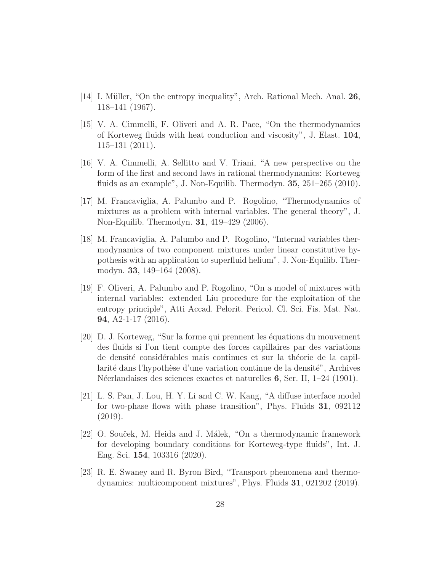- <span id="page-27-1"></span><span id="page-27-0"></span>[14] I. Müller, "On the entropy inequality", Arch. Rational Mech. Anal. 26, 118–141 (1967).
- [15] V. A. Cimmelli, F. Oliveri and A. R. Pace, "On the thermodynamics of Korteweg fluids with heat conduction and viscosity", J. Elast. 104, 115–131 (2011).
- <span id="page-27-2"></span>[16] V. A. Cimmelli, A. Sellitto and V. Triani, "A new perspective on the form of the first and second laws in rational thermodynamics: Korteweg fluids as an example", J. Non-Equilib. Thermodyn. 35, 251–265 (2010).
- <span id="page-27-3"></span>[17] M. Francaviglia, A. Palumbo and P. Rogolino, "Thermodynamics of mixtures as a problem with internal variables. The general theory", J. Non-Equilib. Thermodyn. 31, 419–429 (2006).
- <span id="page-27-4"></span>[18] M. Francaviglia, A. Palumbo and P. Rogolino, "Internal variables thermodynamics of two component mixtures under linear constitutive hypothesis with an application to superfluid helium", J. Non-Equilib. Thermodyn. 33, 149–164 (2008).
- <span id="page-27-5"></span>[19] F. Oliveri, A. Palumbo and P. Rogolino, "On a model of mixtures with internal variables: extended Liu procedure for the exploitation of the entropy principle", Atti Accad. Pelorit. Pericol. Cl. Sci. Fis. Mat. Nat. 94, A2-1-17 (2016).
- <span id="page-27-6"></span>[20] D. J. Korteweg, "Sur la forme qui prennent les équations du mouvement des fluids si l'on tient compte des forces capillaires par des variations de densité considérables mais continues et sur la théorie de la capillarité dans l'hypothèse d'une variation continue de la densité", Archives N´eerlandaises des sciences exactes et naturelles 6, Ser. II, 1–24 (1901).
- <span id="page-27-7"></span>[21] L. S. Pan, J. Lou, H. Y. Li and C. W. Kang, "A diffuse interface model for two-phase flows with phase transition", Phys. Fluids 31, 092112 (2019).
- <span id="page-27-8"></span>[22] O. Souček, M. Heida and J. Málek, "On a thermodynamic framework for developing boundary conditions for Korteweg-type fluids", Int. J. Eng. Sci. 154, 103316 (2020).
- <span id="page-27-9"></span>[23] R. E. Swaney and R. Byron Bird, "Transport phenomena and thermodynamics: multicomponent mixtures", Phys. Fluids 31, 021202 (2019).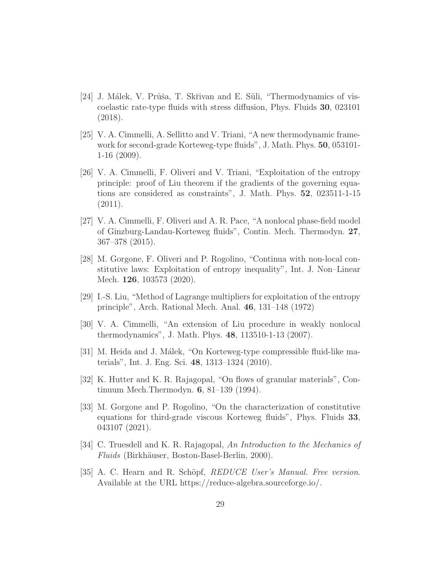- <span id="page-28-0"></span>[24] J. Málek, V. Průša, T. Skřivan and E. Süli, "Thermodynamics of viscoelastic rate-type fluids with stress diffusion, Phys. Fluids 30, 023101 (2018).
- <span id="page-28-1"></span>[25] V. A. Cimmelli, A. Sellitto and V. Triani, "A new thermodynamic framework for second-grade Korteweg-type fluids", J. Math. Phys. 50, 053101- 1-16 (2009).
- <span id="page-28-2"></span>[26] V. A. Cimmelli, F. Oliveri and V. Triani, "Exploitation of the entropy principle: proof of Liu theorem if the gradients of the governing equations are considered as constraints", J. Math. Phys. 52, 023511-1-15 (2011).
- <span id="page-28-3"></span>[27] V. A. Cimmelli, F. Oliveri and A. R. Pace, "A nonlocal phase-field model of Ginzburg-Landau-Korteweg fluids", Contin. Mech. Thermodyn. 27, 367–378 (2015).
- <span id="page-28-4"></span>[28] M. Gorgone, F. Oliveri and P. Rogolino, "Continua with non-local constitutive laws: Exploitation of entropy inequality", Int. J. Non–Linear Mech. **126**, 103573 (2020).
- <span id="page-28-5"></span>[29] I.-S. Liu, "Method of Lagrange multipliers for exploitation of the entropy principle", Arch. Rational Mech. Anal. 46, 131–148 (1972)
- <span id="page-28-7"></span><span id="page-28-6"></span>[30] V. A. Cimmelli, "An extension of Liu procedure in weakly nonlocal thermodynamics", J. Math. Phys. 48, 113510-1-13 (2007).
- <span id="page-28-8"></span>[31] M. Heida and J. Málek, "On Korteweg-type compressible fluid-like materials", Int. J. Eng. Sci. 48, 1313–1324 (2010).
- [32] K. Hutter and K. R. Rajagopal, "On flows of granular materials", Continuum Mech.Thermodyn. 6, 81–139 (1994).
- <span id="page-28-9"></span>[33] M. Gorgone and P. Rogolino, "On the characterization of constitutive equations for third-grade viscous Korteweg fluids", Phys. Fluids 33, 043107 (2021).
- <span id="page-28-10"></span>[34] C. Truesdell and K. R. Rajagopal, An Introduction to the Mechanics of Fluids (Birkhäuser, Boston-Basel-Berlin, 2000).
- <span id="page-28-11"></span>[35] A. C. Hearn and R. Schöpf, REDUCE User's Manual. Free version. Available at the URL https://reduce-algebra.sourceforge.io/.